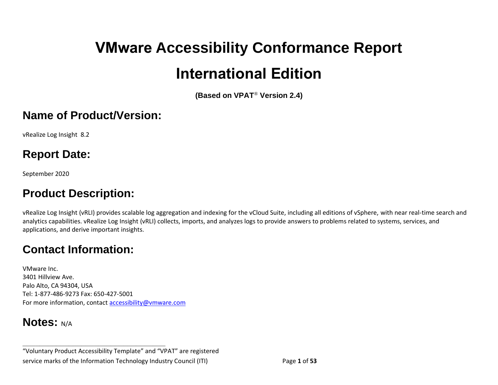# **VMware Accessibility Conformance Report International Edition**

**(Based on VPAT**® **Version 2.4)**

#### **Name of Product/Version:**

vRealize Log Insight 8.2

## **Report Date:**

September 2020

## **Product Description:**

vRealize Log Insight (vRLI) provides scalable log aggregation and indexing for the vCloud Suite, including all editions of vSphere, with near real-time search and analytics capabilities. vRealize Log Insight (vRLI) collects, imports, and analyzes logs to provide answers to problems related to systems, services, and applications, and derive important insights.

## **Contact Information:**

VMware Inc. 3401 Hillview Ave. Palo Alto, CA 94304, USA Tel: 1-877-486-9273 Fax: 650-427-5001 For more information, contact [accessibility@vmware.com](mailto:accessibility@vmware.com)

**\_\_\_\_\_\_\_\_\_\_\_\_\_\_\_\_\_\_\_\_\_\_\_\_\_\_\_\_\_\_\_\_\_\_**

#### **Notes:** N/A

"Voluntary Product Accessibility Template" and "VPAT" are registered service marks of the Information Technology Industry Council (ITI) Page **1** of **53**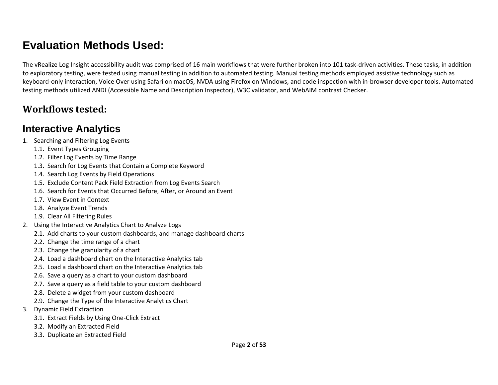# **Evaluation Methods Used:**

The vRealize Log Insight accessibility audit was comprised of 16 main workflows that were further broken into 101 task-driven activities. These tasks, in addition to exploratory testing, were tested using manual testing in addition to automated testing. Manual testing methods employed assistive technology such as keyboard-only interaction, Voice Over using Safari on macOS, NVDA using Firefox on Windows, and code inspection with in-browser developer tools. Automated testing methods utilized ANDI (Accessible Name and Description Inspector), W3C validator, and WebAIM contrast Checker.

#### **Workflows tested:**

#### **Interactive Analytics**

- 1. Searching and Filtering Log Events
	- 1.1. Event Types Grouping
	- 1.2. Filter Log Events by Time Range
	- 1.3. Search for Log Events that Contain a Complete Keyword
	- 1.4. Search Log Events by Field Operations
	- 1.5. Exclude Content Pack Field Extraction from Log Events Search
	- 1.6. Search for Events that Occurred Before, After, or Around an Event
	- 1.7. View Event in Context
	- 1.8. Analyze Event Trends
	- 1.9. Clear All Filtering Rules
- 2. Using the Interactive Analytics Chart to Analyze Logs
	- 2.1. Add charts to your custom dashboards, and manage dashboard charts
	- 2.2. Change the time range of a chart
	- 2.3. Change the granularity of a chart
	- 2.4. Load a dashboard chart on the Interactive Analytics tab
	- 2.5. Load a dashboard chart on the Interactive Analytics tab
	- 2.6. Save a query as a chart to your custom dashboard
	- 2.7. Save a query as a field table to your custom dashboard
	- 2.8. Delete a widget from your custom dashboard
	- 2.9. Change the Type of the Interactive Analytics Chart
- 3. Dynamic Field Extraction
	- 3.1. Extract Fields by Using One-Click Extract
	- 3.2. Modify an Extracted Field
	- 3.3. Duplicate an Extracted Field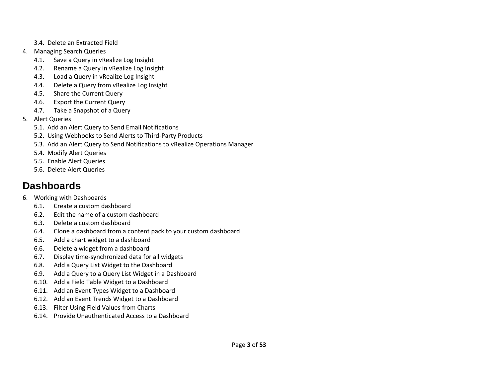- 3.4. Delete an Extracted Field
- 4. Managing Search Queries
	- 4.1. Save a Query in vRealize Log Insight
	- 4.2. Rename a Query in vRealize Log Insight
	- 4.3. Load a Query in vRealize Log Insight
	- 4.4. Delete a Query from vRealize Log Insight
	- 4.5. Share the Current Query
	- 4.6. Export the Current Query
	- 4.7. Take a Snapshot of a Query
- 5. Alert Queries
	- 5.1. Add an Alert Query to Send Email Notifications
	- 5.2. Using Webhooks to Send Alerts to Third-Party Products
	- 5.3. Add an Alert Query to Send Notifications to vRealize Operations Manager
	- 5.4. Modify Alert Queries
	- 5.5. Enable Alert Queries
	- 5.6. Delete Alert Queries

## **Dashboards**

- 6. Working with Dashboards
	- 6.1. Create a custom dashboard
	- 6.2. Edit the name of a custom dashboard
	- 6.3. Delete a custom dashboard
	- 6.4. Clone a dashboard from a content pack to your custom dashboard
	- 6.5. Add a chart widget to a dashboard
	- 6.6. Delete a widget from a dashboard
	- 6.7. Display time-synchronized data for all widgets
	- 6.8. Add a Query List Widget to the Dashboard
	- 6.9. Add a Query to a Query List Widget in a Dashboard
	- 6.10. Add a Field Table Widget to a Dashboard
	- 6.11. Add an Event Types Widget to a Dashboard
	- 6.12. Add an Event Trends Widget to a Dashboard
	- 6.13. Filter Using Field Values from Charts
	- 6.14. Provide Unauthenticated Access to a Dashboard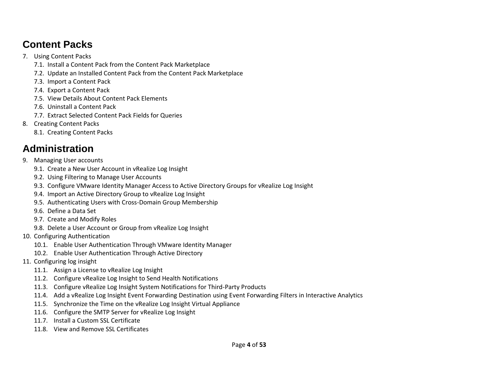#### **Content Packs**

- 7. Using Content Packs
	- 7.1. Install a Content Pack from the Content Pack Marketplace
	- 7.2. Update an Installed Content Pack from the Content Pack Marketplace
	- 7.3. Import a Content Pack
	- 7.4. Export a Content Pack
	- 7.5. View Details About Content Pack Elements
	- 7.6. Uninstall a Content Pack
	- 7.7. Extract Selected Content Pack Fields for Queries
- 8. Creating Content Packs
	- 8.1. Creating Content Packs

## **Administration**

- 9. Managing User accounts
	- 9.1. Create a New User Account in vRealize Log Insight
	- 9.2. Using Filtering to Manage User Accounts
	- 9.3. Configure VMware Identity Manager Access to Active Directory Groups for vRealize Log Insight
	- 9.4. Import an Active Directory Group to vRealize Log Insight
	- 9.5. Authenticating Users with Cross-Domain Group Membership
	- 9.6. Define a Data Set
	- 9.7. Create and Modify Roles
	- 9.8. Delete a User Account or Group from vRealize Log Insight
- 10. Configuring Authentication
	- 10.1. Enable User Authentication Through VMware Identity Manager
	- 10.2. Enable User Authentication Through Active Directory
- 11. Configuring log insight
	- 11.1. Assign a License to vRealize Log Insight
	- 11.2. Configure vRealize Log Insight to Send Health Notifications
	- 11.3. Configure vRealize Log Insight System Notifications for Third-Party Products
	- 11.4. Add a vRealize Log Insight Event Forwarding Destination using Event Forwarding Filters in Interactive Analytics
	- 11.5. Synchronize the Time on the vRealize Log Insight Virtual Appliance
	- 11.6. Configure the SMTP Server for vRealize Log Insight
	- 11.7. Install a Custom SSL Certificate
	- 11.8. View and Remove SSL Certificates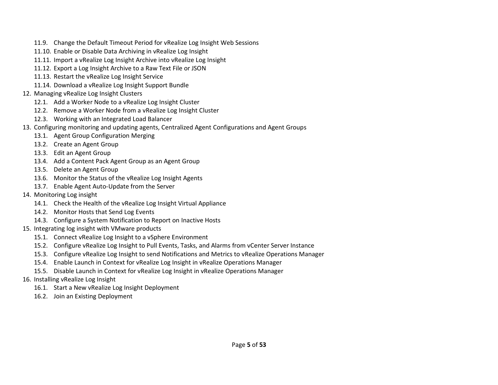- 11.9. Change the Default Timeout Period for vRealize Log Insight Web Sessions
- 11.10. Enable or Disable Data Archiving in vRealize Log Insight
- 11.11. Import a vRealize Log Insight Archive into vRealize Log Insight
- 11.12. Export a Log Insight Archive to a Raw Text File or JSON
- 11.13. Restart the vRealize Log Insight Service
- 11.14. Download a vRealize Log Insight Support Bundle
- 12. Managing vRealize Log Insight Clusters
	- 12.1. Add a Worker Node to a vRealize Log Insight Cluster
	- 12.2. Remove a Worker Node from a vRealize Log Insight Cluster
	- 12.3. Working with an Integrated Load Balancer
- 13. Configuring monitoring and updating agents, Centralized Agent Configurations and Agent Groups
	- 13.1. Agent Group Configuration Merging
	- 13.2. Create an Agent Group
	- 13.3. Edit an Agent Group
	- 13.4. Add a Content Pack Agent Group as an Agent Group
	- 13.5. Delete an Agent Group
	- 13.6. Monitor the Status of the vRealize Log Insight Agents
	- 13.7. Enable Agent Auto-Update from the Server
- 14. Monitoring Log insight
	- 14.1. Check the Health of the vRealize Log Insight Virtual Appliance
	- 14.2. Monitor Hosts that Send Log Events
	- 14.3. Configure a System Notification to Report on Inactive Hosts
- 15. Integrating log insight with VMware products
	- 15.1. Connect vRealize Log Insight to a vSphere Environment
	- 15.2. Configure vRealize Log Insight to Pull Events, Tasks, and Alarms from vCenter Server Instance
	- 15.3. Configure vRealize Log Insight to send Notifications and Metrics to vRealize Operations Manager
	- 15.4. Enable Launch in Context for vRealize Log Insight in vRealize Operations Manager
	- 15.5. Disable Launch in Context for vRealize Log Insight in vRealize Operations Manager
- 16. Installing vRealize Log Insight
	- 16.1. Start a New vRealize Log Insight Deployment
	- 16.2. Join an Existing Deployment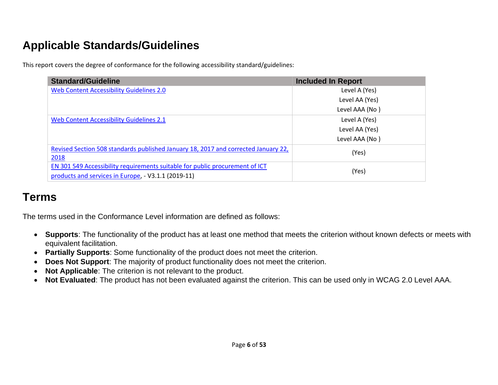# **Applicable Standards/Guidelines**

This report covers the degree of conformance for the following accessibility standard/guidelines:

| <b>Standard/Guideline</b>                                                                  | <b>Included In Report</b> |
|--------------------------------------------------------------------------------------------|---------------------------|
| Web Content Accessibility Guidelines 2.0                                                   | Level A (Yes)             |
|                                                                                            | Level AA (Yes)            |
|                                                                                            | Level AAA (No)            |
| Web Content Accessibility Guidelines 2.1                                                   | Level A (Yes)             |
|                                                                                            | Level AA (Yes)            |
|                                                                                            | Level AAA (No)            |
| Revised Section 508 standards published January 18, 2017 and corrected January 22,<br>2018 | (Yes)                     |
| EN 301 549 Accessibility requirements suitable for public procurement of ICT               |                           |
| products and services in Europe, - V3.1.1 (2019-11)                                        | (Yes)                     |

## **Terms**

The terms used in the Conformance Level information are defined as follows:

- **Supports**: The functionality of the product has at least one method that meets the criterion without known defects or meets with equivalent facilitation.
- **Partially Supports**: Some functionality of the product does not meet the criterion.
- **Does Not Support**: The majority of product functionality does not meet the criterion.
- **Not Applicable**: The criterion is not relevant to the product.
- <span id="page-5-0"></span>• **Not Evaluated**: The product has not been evaluated against the criterion. This can be used only in WCAG 2.0 Level AAA.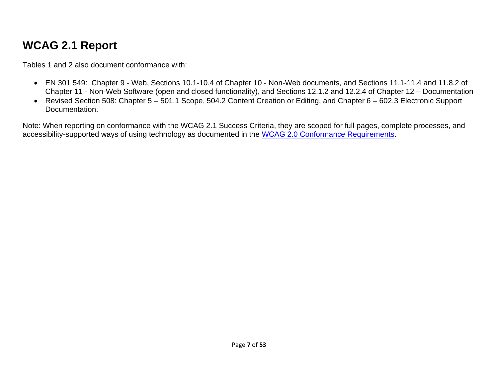# **WCAG 2.1 Report**

Tables 1 and 2 also document conformance with:

- EN 301 549: Chapter 9 Web, Sections 10.1-10.4 of Chapter 10 Non-Web documents, and Sections 11.1-11.4 and 11.8.2 of Chapter 11 - Non-Web Software (open and closed functionality), and Sections 12.1.2 and 12.2.4 of Chapter 12 – Documentation
- Revised Section 508: Chapter 5 501.1 Scope, 504.2 Content Creation or Editing, and Chapter 6 602.3 Electronic Support Documentation.

Note: When reporting on conformance with the WCAG 2.1 Success Criteria, they are scoped for full pages, complete processes, and accessibility-supported ways of using technology as documented in the [WCAG 2.0 Conformance Requirements.](https://www.w3.org/TR/WCAG20/#conformance-reqs)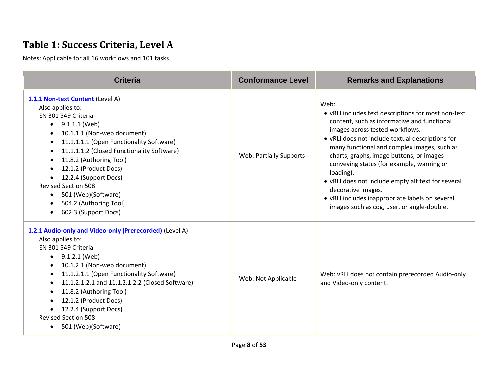## **Table 1: Success Criteria, Level A**

| <b>Criteria</b>                                                                                                                                                                                                                                                                                                                                                                                                                               | <b>Conformance Level</b>       | <b>Remarks and Explanations</b>                                                                                                                                                                                                                                                                                                                                                                                                                                                                                                     |
|-----------------------------------------------------------------------------------------------------------------------------------------------------------------------------------------------------------------------------------------------------------------------------------------------------------------------------------------------------------------------------------------------------------------------------------------------|--------------------------------|-------------------------------------------------------------------------------------------------------------------------------------------------------------------------------------------------------------------------------------------------------------------------------------------------------------------------------------------------------------------------------------------------------------------------------------------------------------------------------------------------------------------------------------|
| 1.1.1 Non-text Content (Level A)<br>Also applies to:<br>EN 301 549 Criteria<br>$\bullet$ 9.1.1.1 (Web)<br>10.1.1.1 (Non-web document)<br>11.1.1.1.1 (Open Functionality Software)<br>$\bullet$<br>11.1.1.1.2 (Closed Functionality Software)<br>$\bullet$<br>11.8.2 (Authoring Tool)<br>12.1.2 (Product Docs)<br>12.2.4 (Support Docs)<br><b>Revised Section 508</b><br>501 (Web)(Software)<br>504.2 (Authoring Tool)<br>602.3 (Support Docs) | <b>Web: Partially Supports</b> | Web:<br>• vRLI includes text descriptions for most non-text<br>content, such as informative and functional<br>images across tested workflows.<br>• vRLI does not include textual descriptions for<br>many functional and complex images, such as<br>charts, graphs, image buttons, or images<br>conveying status (for example, warning or<br>loading).<br>• vRLI does not include empty alt text for several<br>decorative images.<br>• vRLI includes inappropriate labels on several<br>images such as cog, user, or angle-double. |
| 1.2.1 Audio-only and Video-only (Prerecorded) (Level A)<br>Also applies to:<br>EN 301 549 Criteria<br>$\bullet$ 9.1.2.1 (Web)<br>10.1.2.1 (Non-web document)<br>11.1.2.1.1 (Open Functionality Software)<br>$\bullet$<br>11.1.2.1.2.1 and 11.1.2.1.2.2 (Closed Software)<br>11.8.2 (Authoring Tool)<br>$\bullet$<br>12.1.2 (Product Docs)<br>12.2.4 (Support Docs)<br><b>Revised Section 508</b><br>501 (Web)(Software)                       | Web: Not Applicable            | Web: vRLI does not contain prerecorded Audio-only<br>and Video-only content.                                                                                                                                                                                                                                                                                                                                                                                                                                                        |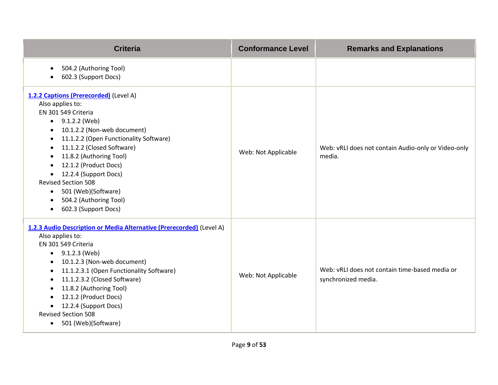| <b>Criteria</b>                                                                                                                                                                                                                                                                                                                                                                                                                                                                                                 | <b>Conformance Level</b> | <b>Remarks and Explanations</b>                                       |
|-----------------------------------------------------------------------------------------------------------------------------------------------------------------------------------------------------------------------------------------------------------------------------------------------------------------------------------------------------------------------------------------------------------------------------------------------------------------------------------------------------------------|--------------------------|-----------------------------------------------------------------------|
| 504.2 (Authoring Tool)<br>$\bullet$<br>602.3 (Support Docs)                                                                                                                                                                                                                                                                                                                                                                                                                                                     |                          |                                                                       |
| 1.2.2 Captions (Prerecorded) (Level A)<br>Also applies to:<br>EN 301 549 Criteria<br>$\bullet$ 9.1.2.2 (Web)<br>10.1.2.2 (Non-web document)<br>$\bullet$<br>11.1.2.2 (Open Functionality Software)<br>$\bullet$<br>11.1.2.2 (Closed Software)<br>$\bullet$<br>11.8.2 (Authoring Tool)<br>$\bullet$<br>12.1.2 (Product Docs)<br>$\bullet$<br>12.2.4 (Support Docs)<br>$\bullet$<br><b>Revised Section 508</b><br>501 (Web)(Software)<br>$\bullet$<br>504.2 (Authoring Tool)<br>602.3 (Support Docs)<br>$\bullet$ | Web: Not Applicable      | Web: vRLI does not contain Audio-only or Video-only<br>media.         |
| 1.2.3 Audio Description or Media Alternative (Prerecorded) (Level A)<br>Also applies to:<br>EN 301 549 Criteria<br>$\bullet$ 9.1.2.3 (Web)<br>10.1.2.3 (Non-web document)<br>11.1.2.3.1 (Open Functionality Software)<br>$\bullet$<br>11.1.2.3.2 (Closed Software)<br>$\bullet$<br>11.8.2 (Authoring Tool)<br>$\bullet$<br>12.1.2 (Product Docs)<br>12.2.4 (Support Docs)<br><b>Revised Section 508</b><br>• 501 (Web)(Software)                                                                                | Web: Not Applicable      | Web: vRLI does not contain time-based media or<br>synchronized media. |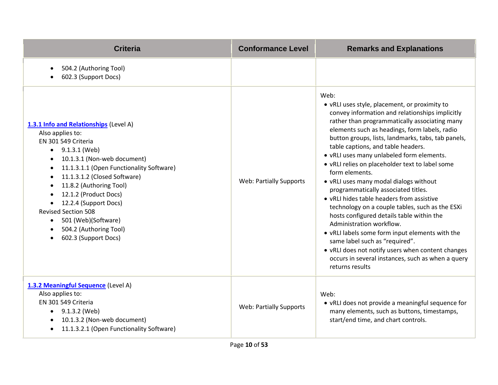| <b>Criteria</b>                                                                                                                                                                                                                                                                                                                                                                                                                                                 | <b>Conformance Level</b>       | <b>Remarks and Explanations</b>                                                                                                                                                                                                                                                                                                                                                                                                                                                                                                                                                                                                                                                                                                                                                                                                                                                                      |
|-----------------------------------------------------------------------------------------------------------------------------------------------------------------------------------------------------------------------------------------------------------------------------------------------------------------------------------------------------------------------------------------------------------------------------------------------------------------|--------------------------------|------------------------------------------------------------------------------------------------------------------------------------------------------------------------------------------------------------------------------------------------------------------------------------------------------------------------------------------------------------------------------------------------------------------------------------------------------------------------------------------------------------------------------------------------------------------------------------------------------------------------------------------------------------------------------------------------------------------------------------------------------------------------------------------------------------------------------------------------------------------------------------------------------|
| 504.2 (Authoring Tool)<br>$\bullet$<br>602.3 (Support Docs)                                                                                                                                                                                                                                                                                                                                                                                                     |                                |                                                                                                                                                                                                                                                                                                                                                                                                                                                                                                                                                                                                                                                                                                                                                                                                                                                                                                      |
| 1.3.1 Info and Relationships (Level A)<br>Also applies to:<br>EN 301 549 Criteria<br>$\bullet$ 9.1.3.1 (Web)<br>10.1.3.1 (Non-web document)<br>$\bullet$<br>11.1.3.1.1 (Open Functionality Software)<br>$\bullet$<br>11.1.3.1.2 (Closed Software)<br>11.8.2 (Authoring Tool)<br>12.1.2 (Product Docs)<br>12.2.4 (Support Docs)<br>$\bullet$<br><b>Revised Section 508</b><br>501 (Web)(Software)<br>$\bullet$<br>504.2 (Authoring Tool)<br>602.3 (Support Docs) | <b>Web: Partially Supports</b> | Web:<br>• vRLI uses style, placement, or proximity to<br>convey information and relationships implicitly<br>rather than programmatically associating many<br>elements such as headings, form labels, radio<br>button groups, lists, landmarks, tabs, tab panels,<br>table captions, and table headers.<br>. vRLI uses many unlabeled form elements.<br>• vRLI relies on placeholder text to label some<br>form elements.<br>• vRLI uses many modal dialogs without<br>programmatically associated titles.<br>• vRLI hides table headers from assistive<br>technology on a couple tables, such as the ESXi<br>hosts configured details table within the<br>Administration workflow.<br>• vRLI labels some form input elements with the<br>same label such as "required".<br>• vRLI does not notify users when content changes<br>occurs in several instances, such as when a query<br>returns results |
| 1.3.2 Meaningful Sequence (Level A)<br>Also applies to:<br>EN 301 549 Criteria<br>$\bullet$ 9.1.3.2 (Web)<br>10.1.3.2 (Non-web document)<br>11.1.3.2.1 (Open Functionality Software)                                                                                                                                                                                                                                                                            | <b>Web: Partially Supports</b> | Web:<br>• vRLI does not provide a meaningful sequence for<br>many elements, such as buttons, timestamps,<br>start/end time, and chart controls.                                                                                                                                                                                                                                                                                                                                                                                                                                                                                                                                                                                                                                                                                                                                                      |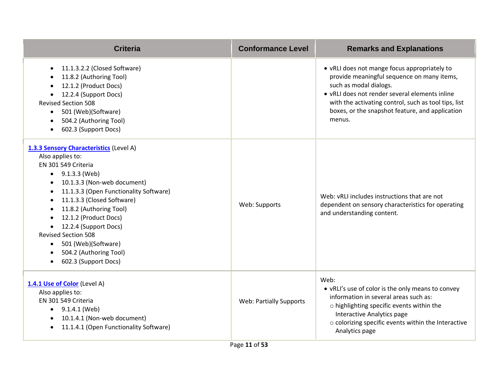| <b>Criteria</b>                                                                                                                                                                                                                                                                                                                                                                                                                                 | <b>Conformance Level</b>       | <b>Remarks and Explanations</b>                                                                                                                                                                                                                                                             |
|-------------------------------------------------------------------------------------------------------------------------------------------------------------------------------------------------------------------------------------------------------------------------------------------------------------------------------------------------------------------------------------------------------------------------------------------------|--------------------------------|---------------------------------------------------------------------------------------------------------------------------------------------------------------------------------------------------------------------------------------------------------------------------------------------|
| 11.1.3.2.2 (Closed Software)<br>$\bullet$<br>11.8.2 (Authoring Tool)<br>12.1.2 (Product Docs)<br>12.2.4 (Support Docs)<br><b>Revised Section 508</b><br>501 (Web)(Software)<br>$\bullet$<br>504.2 (Authoring Tool)<br>602.3 (Support Docs)                                                                                                                                                                                                      |                                | • vRLI does not mange focus appropriately to<br>provide meaningful sequence on many items,<br>such as modal dialogs.<br>• vRLI does not render several elements inline<br>with the activating control, such as tool tips, list<br>boxes, or the snapshot feature, and application<br>menus. |
| 1.3.3 Sensory Characteristics (Level A)<br>Also applies to:<br>EN 301 549 Criteria<br>$\bullet$ 9.1.3.3 (Web)<br>10.1.3.3 (Non-web document)<br>11.1.3.3 (Open Functionality Software)<br>11.1.3.3 (Closed Software)<br>$\bullet$<br>11.8.2 (Authoring Tool)<br>$\bullet$<br>12.1.2 (Product Docs)<br>12.2.4 (Support Docs)<br><b>Revised Section 508</b><br>501 (Web)(Software)<br>$\bullet$<br>504.2 (Authoring Tool)<br>602.3 (Support Docs) | Web: Supports                  | Web: vRLI includes instructions that are not<br>dependent on sensory characteristics for operating<br>and understanding content.                                                                                                                                                            |
| 1.4.1 Use of Color (Level A)<br>Also applies to:<br>EN 301 549 Criteria<br>$\bullet$ 9.1.4.1 (Web)<br>10.1.4.1 (Non-web document)<br>$\bullet$<br>11.1.4.1 (Open Functionality Software)                                                                                                                                                                                                                                                        | <b>Web: Partially Supports</b> | Web:<br>• vRLI's use of color is the only means to convey<br>information in several areas such as:<br>$\circ$ highlighting specific events within the<br>Interactive Analytics page<br>o colorizing specific events within the Interactive<br>Analytics page                                |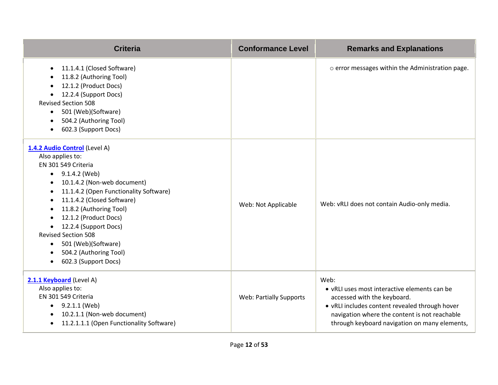| <b>Criteria</b>                                                                                                                                                                                                                                                                                                                                                                                                          | <b>Conformance Level</b>       | <b>Remarks and Explanations</b>                                                                                                                                                                                                         |
|--------------------------------------------------------------------------------------------------------------------------------------------------------------------------------------------------------------------------------------------------------------------------------------------------------------------------------------------------------------------------------------------------------------------------|--------------------------------|-----------------------------------------------------------------------------------------------------------------------------------------------------------------------------------------------------------------------------------------|
| 11.1.4.1 (Closed Software)<br>$\bullet$<br>11.8.2 (Authoring Tool)<br>12.1.2 (Product Docs)<br>12.2.4 (Support Docs)<br><b>Revised Section 508</b><br>501 (Web)(Software)<br>504.2 (Authoring Tool)<br>602.3 (Support Docs)                                                                                                                                                                                              |                                | o error messages within the Administration page.                                                                                                                                                                                        |
| 1.4.2 Audio Control (Level A)<br>Also applies to:<br>EN 301 549 Criteria<br>$\bullet$ 9.1.4.2 (Web)<br>10.1.4.2 (Non-web document)<br>11.1.4.2 (Open Functionality Software)<br>11.1.4.2 (Closed Software)<br>11.8.2 (Authoring Tool)<br>12.1.2 (Product Docs)<br>12.2.4 (Support Docs)<br><b>Revised Section 508</b><br>501 (Web)(Software)<br>$\bullet$<br>504.2 (Authoring Tool)<br>602.3 (Support Docs)<br>$\bullet$ | Web: Not Applicable            | Web: vRLI does not contain Audio-only media.                                                                                                                                                                                            |
| 2.1.1 Keyboard (Level A)<br>Also applies to:<br>EN 301 549 Criteria<br>$\bullet$ 9.2.1.1 (Web)<br>10.2.1.1 (Non-web document)<br>$\bullet$<br>11.2.1.1.1 (Open Functionality Software)<br>$\bullet$                                                                                                                                                                                                                      | <b>Web: Partially Supports</b> | Web:<br>• vRLI uses most interactive elements can be<br>accessed with the keyboard.<br>. vRLI includes content revealed through hover<br>navigation where the content is not reachable<br>through keyboard navigation on many elements, |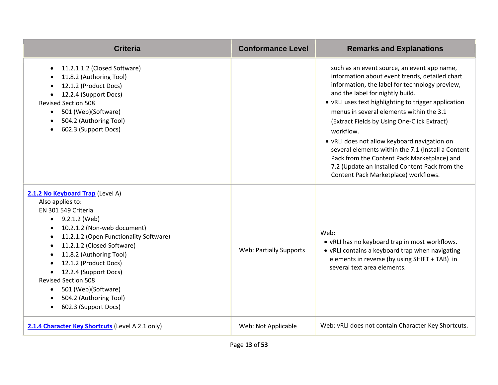| <b>Criteria</b>                                                                                                                                                                                                                                                                                                                                                                                                                                       | <b>Conformance Level</b>       | <b>Remarks and Explanations</b>                                                                                                                                                                                                                                                                                                                                                                                                                                                                                                                                                                    |
|-------------------------------------------------------------------------------------------------------------------------------------------------------------------------------------------------------------------------------------------------------------------------------------------------------------------------------------------------------------------------------------------------------------------------------------------------------|--------------------------------|----------------------------------------------------------------------------------------------------------------------------------------------------------------------------------------------------------------------------------------------------------------------------------------------------------------------------------------------------------------------------------------------------------------------------------------------------------------------------------------------------------------------------------------------------------------------------------------------------|
| 11.2.1.1.2 (Closed Software)<br>$\bullet$<br>11.8.2 (Authoring Tool)<br>12.1.2 (Product Docs)<br>12.2.4 (Support Docs)<br><b>Revised Section 508</b><br>501 (Web)(Software)<br>$\bullet$<br>504.2 (Authoring Tool)<br>602.3 (Support Docs)                                                                                                                                                                                                            |                                | such as an event source, an event app name,<br>information about event trends, detailed chart<br>information, the label for technology preview,<br>and the label for nightly build.<br>• vRLI uses text highlighting to trigger application<br>menus in several elements within the 3.1<br>(Extract Fields by Using One-Click Extract)<br>workflow.<br>• vRLI does not allow keyboard navigation on<br>several elements within the 7.1 (Install a Content<br>Pack from the Content Pack Marketplace) and<br>7.2 (Update an Installed Content Pack from the<br>Content Pack Marketplace) workflows. |
| 2.1.2 No Keyboard Trap (Level A)<br>Also applies to:<br>EN 301 549 Criteria<br>$\bullet$ 9.2.1.2 (Web)<br>10.2.1.2 (Non-web document)<br>11.2.1.2 (Open Functionality Software)<br>11.2.1.2 (Closed Software)<br>$\bullet$<br>11.8.2 (Authoring Tool)<br>$\bullet$<br>12.1.2 (Product Docs)<br>12.2.4 (Support Docs)<br><b>Revised Section 508</b><br>501 (Web)(Software)<br>$\bullet$<br>504.2 (Authoring Tool)<br>$\bullet$<br>602.3 (Support Docs) | <b>Web: Partially Supports</b> | Web:<br>• vRLI has no keyboard trap in most workflows.<br>• vRLI contains a keyboard trap when navigating<br>elements in reverse (by using SHIFT + TAB) in<br>several text area elements.                                                                                                                                                                                                                                                                                                                                                                                                          |
| 2.1.4 Character Key Shortcuts (Level A 2.1 only)                                                                                                                                                                                                                                                                                                                                                                                                      | Web: Not Applicable            | Web: vRLI does not contain Character Key Shortcuts.                                                                                                                                                                                                                                                                                                                                                                                                                                                                                                                                                |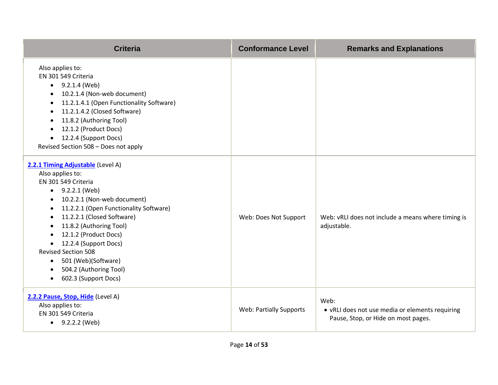| <b>Criteria</b>                                                                                                                                                                                                                                                                                                                                                                                                                                                     | <b>Conformance Level</b>       | <b>Remarks and Explanations</b>                                                                |
|---------------------------------------------------------------------------------------------------------------------------------------------------------------------------------------------------------------------------------------------------------------------------------------------------------------------------------------------------------------------------------------------------------------------------------------------------------------------|--------------------------------|------------------------------------------------------------------------------------------------|
| Also applies to:<br>EN 301 549 Criteria<br>$\bullet$ 9.2.1.4 (Web)<br>10.2.1.4 (Non-web document)<br>$\bullet$<br>11.2.1.4.1 (Open Functionality Software)<br>$\bullet$<br>11.2.1.4.2 (Closed Software)<br>$\bullet$<br>11.8.2 (Authoring Tool)<br>12.1.2 (Product Docs)<br>12.2.4 (Support Docs)<br>$\bullet$<br>Revised Section 508 - Does not apply                                                                                                              |                                |                                                                                                |
| 2.2.1 Timing Adjustable (Level A)<br>Also applies to:<br>EN 301 549 Criteria<br>$\bullet$ 9.2.2.1 (Web)<br>10.2.2.1 (Non-web document)<br>11.2.2.1 (Open Functionality Software)<br>$\bullet$<br>11.2.2.1 (Closed Software)<br>$\bullet$<br>11.8.2 (Authoring Tool)<br>12.1.2 (Product Docs)<br>12.2.4 (Support Docs)<br><b>Revised Section 508</b><br>501 (Web)(Software)<br>$\bullet$<br>504.2 (Authoring Tool)<br>$\bullet$<br>602.3 (Support Docs)<br>$\bullet$ | Web: Does Not Support          | Web: vRLI does not include a means where timing is<br>adjustable.                              |
| 2.2.2 Pause, Stop, Hide (Level A)<br>Also applies to:<br>EN 301 549 Criteria<br>$\bullet$ 9.2.2.2 (Web)                                                                                                                                                                                                                                                                                                                                                             | <b>Web: Partially Supports</b> | Web:<br>• vRLI does not use media or elements requiring<br>Pause, Stop, or Hide on most pages. |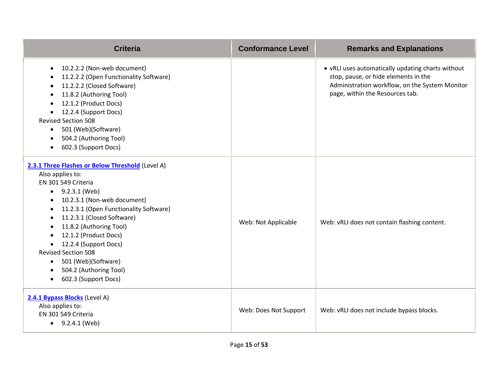| <b>Criteria</b>                                                                                                                                                                                                                                                                                                                                                                                                                                                       | <b>Conformance Level</b> | <b>Remarks and Explanations</b>                                                                                                                                                |
|-----------------------------------------------------------------------------------------------------------------------------------------------------------------------------------------------------------------------------------------------------------------------------------------------------------------------------------------------------------------------------------------------------------------------------------------------------------------------|--------------------------|--------------------------------------------------------------------------------------------------------------------------------------------------------------------------------|
| 10.2.2.2 (Non-web document)<br>$\bullet$<br>11.2.2.2 (Open Functionality Software)<br>11.2.2.2 (Closed Software)<br>11.8.2 (Authoring Tool)<br>12.1.2 (Product Docs)<br>12.2.4 (Support Docs)<br><b>Revised Section 508</b><br>501 (Web)(Software)<br>$\bullet$<br>504.2 (Authoring Tool)<br>602.3 (Support Docs)                                                                                                                                                     |                          | • vRLI uses automatically updating charts without<br>stop, pause, or hide elements in the<br>Administration workflow, on the System Monitor<br>page, within the Resources tab. |
| 2.3.1 Three Flashes or Below Threshold (Level A)<br>Also applies to:<br>EN 301 549 Criteria<br>$\bullet$ 9.2.3.1 (Web)<br>10.2.3.1 (Non-web document)<br>11.2.3.1 (Open Functionality Software)<br>$\bullet$<br>11.2.3.1 (Closed Software)<br>$\bullet$<br>11.8.2 (Authoring Tool)<br>$\bullet$<br>12.1.2 (Product Docs)<br>12.2.4 (Support Docs)<br><b>Revised Section 508</b><br>501 (Web)(Software)<br>$\bullet$<br>504.2 (Authoring Tool)<br>602.3 (Support Docs) | Web: Not Applicable      | Web: vRLI does not contain flashing content.                                                                                                                                   |
| 2.4.1 Bypass Blocks (Level A)<br>Also applies to:<br>EN 301 549 Criteria<br>$\bullet$ 9.2.4.1 (Web)                                                                                                                                                                                                                                                                                                                                                                   | Web: Does Not Support    | Web: vRLI does not include bypass blocks.                                                                                                                                      |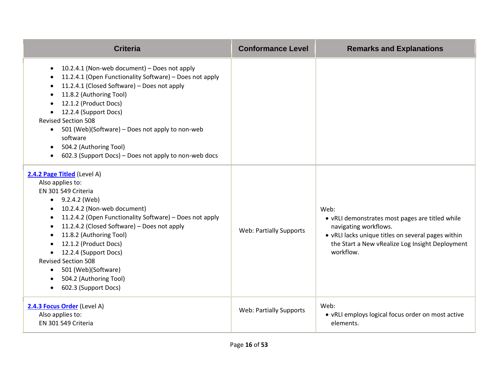| <b>Criteria</b>                                                                                                                                                                                                                                                                                                                                                                                                                                              | <b>Conformance Level</b>       | <b>Remarks and Explanations</b>                                                                                                                                                                        |
|--------------------------------------------------------------------------------------------------------------------------------------------------------------------------------------------------------------------------------------------------------------------------------------------------------------------------------------------------------------------------------------------------------------------------------------------------------------|--------------------------------|--------------------------------------------------------------------------------------------------------------------------------------------------------------------------------------------------------|
| 10.2.4.1 (Non-web document) - Does not apply<br>$\bullet$<br>11.2.4.1 (Open Functionality Software) - Does not apply<br>11.2.4.1 (Closed Software) - Does not apply<br>11.8.2 (Authoring Tool)<br>$\bullet$<br>12.1.2 (Product Docs)<br>12.2.4 (Support Docs)<br><b>Revised Section 508</b><br>501 (Web)(Software) - Does not apply to non-web<br>$\bullet$<br>software<br>• 504.2 (Authoring Tool)<br>602.3 (Support Docs) – Does not apply to non-web docs |                                |                                                                                                                                                                                                        |
| 2.4.2 Page Titled (Level A)<br>Also applies to:<br>EN 301 549 Criteria<br>$\bullet$ 9.2.4.2 (Web)<br>10.2.4.2 (Non-web document)<br>11.2.4.2 (Open Functionality Software) - Does not apply<br>11.2.4.2 (Closed Software) - Does not apply<br>11.8.2 (Authoring Tool)<br>12.1.2 (Product Docs)<br>12.2.4 (Support Docs)<br>$\bullet$<br><b>Revised Section 508</b><br>501 (Web)(Software)<br>504.2 (Authoring Tool)<br>602.3 (Support Docs)<br>$\bullet$     | <b>Web: Partially Supports</b> | Web:<br>• vRLI demonstrates most pages are titled while<br>navigating workflows.<br>• vRLI lacks unique titles on several pages within<br>the Start a New vRealize Log Insight Deployment<br>workflow. |
| 2.4.3 Focus Order (Level A)<br>Also applies to:<br>EN 301 549 Criteria                                                                                                                                                                                                                                                                                                                                                                                       | <b>Web: Partially Supports</b> | Web:<br>• vRLI employs logical focus order on most active<br>elements.                                                                                                                                 |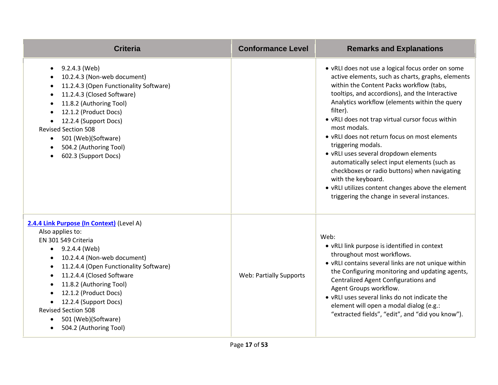| <b>Criteria</b>                                                                                                                                                                                                                                                                                                                                                                                             | <b>Conformance Level</b>       | <b>Remarks and Explanations</b>                                                                                                                                                                                                                                                                                                                                                                                                                                                                                                                                                                                                                                                 |
|-------------------------------------------------------------------------------------------------------------------------------------------------------------------------------------------------------------------------------------------------------------------------------------------------------------------------------------------------------------------------------------------------------------|--------------------------------|---------------------------------------------------------------------------------------------------------------------------------------------------------------------------------------------------------------------------------------------------------------------------------------------------------------------------------------------------------------------------------------------------------------------------------------------------------------------------------------------------------------------------------------------------------------------------------------------------------------------------------------------------------------------------------|
| 9.2.4.3 (Web)<br>$\bullet$<br>10.2.4.3 (Non-web document)<br>11.2.4.3 (Open Functionality Software)<br>11.2.4.3 (Closed Software)<br>$\bullet$<br>11.8.2 (Authoring Tool)<br>$\bullet$<br>12.1.2 (Product Docs)<br>12.2.4 (Support Docs)<br><b>Revised Section 508</b><br>501 (Web)(Software)<br>$\bullet$<br>504.2 (Authoring Tool)<br>602.3 (Support Docs)                                                |                                | • vRLI does not use a logical focus order on some<br>active elements, such as charts, graphs, elements<br>within the Content Packs workflow (tabs,<br>tooltips, and accordions), and the Interactive<br>Analytics workflow (elements within the query<br>filter).<br>• vRLI does not trap virtual cursor focus within<br>most modals.<br>• vRLI does not return focus on most elements<br>triggering modals.<br>• vRLI uses several dropdown elements<br>automatically select input elements (such as<br>checkboxes or radio buttons) when navigating<br>with the keyboard.<br>• vRLI utilizes content changes above the element<br>triggering the change in several instances. |
| 2.4.4 Link Purpose (In Context) (Level A)<br>Also applies to:<br>EN 301 549 Criteria<br>$\bullet$ 9.2.4.4 (Web)<br>10.2.4.4 (Non-web document)<br>11.2.4.4 (Open Functionality Software)<br>$\bullet$<br>11.2.4.4 (Closed Software<br>$\bullet$<br>11.8.2 (Authoring Tool)<br>12.1.2 (Product Docs)<br>12.2.4 (Support Docs)<br><b>Revised Section 508</b><br>501 (Web)(Software)<br>504.2 (Authoring Tool) | <b>Web: Partially Supports</b> | Web:<br>• vRLI link purpose is identified in context<br>throughout most workflows.<br>• vRLI contains several links are not unique within<br>the Configuring monitoring and updating agents,<br>Centralized Agent Configurations and<br>Agent Groups workflow.<br>• vRLI uses several links do not indicate the<br>element will open a modal dialog (e.g.:<br>"extracted fields", "edit", and "did you know").                                                                                                                                                                                                                                                                  |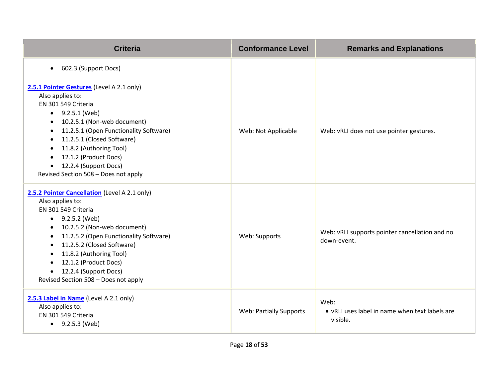| <b>Criteria</b>                                                                                                                                                                                                                                                                                                                                                           | <b>Conformance Level</b>       | <b>Remarks and Explanations</b>                                    |
|---------------------------------------------------------------------------------------------------------------------------------------------------------------------------------------------------------------------------------------------------------------------------------------------------------------------------------------------------------------------------|--------------------------------|--------------------------------------------------------------------|
| 602.3 (Support Docs)<br>$\bullet$                                                                                                                                                                                                                                                                                                                                         |                                |                                                                    |
| 2.5.1 Pointer Gestures (Level A 2.1 only)<br>Also applies to:<br>EN 301 549 Criteria<br>$\bullet$ 9.2.5.1 (Web)<br>10.2.5.1 (Non-web document)<br>11.2.5.1 (Open Functionality Software)<br>11.2.5.1 (Closed Software)<br>11.8.2 (Authoring Tool)<br>12.1.2 (Product Docs)<br>12.2.4 (Support Docs)<br>$\bullet$<br>Revised Section 508 - Does not apply                  | Web: Not Applicable            | Web: vRLI does not use pointer gestures.                           |
| 2.5.2 Pointer Cancellation (Level A 2.1 only)<br>Also applies to:<br>EN 301 549 Criteria<br>$\bullet$ 9.2.5.2 (Web)<br>10.2.5.2 (Non-web document)<br>11.2.5.2 (Open Functionality Software)<br>$\bullet$<br>11.2.5.2 (Closed Software)<br>$\bullet$<br>11.8.2 (Authoring Tool)<br>12.1.2 (Product Docs)<br>12.2.4 (Support Docs)<br>Revised Section 508 - Does not apply | Web: Supports                  | Web: vRLI supports pointer cancellation and no<br>down-event.      |
| 2.5.3 Label in Name (Level A 2.1 only)<br>Also applies to:<br>EN 301 549 Criteria<br>$\bullet$ 9.2.5.3 (Web)                                                                                                                                                                                                                                                              | <b>Web: Partially Supports</b> | Web:<br>• vRLI uses label in name when text labels are<br>visible. |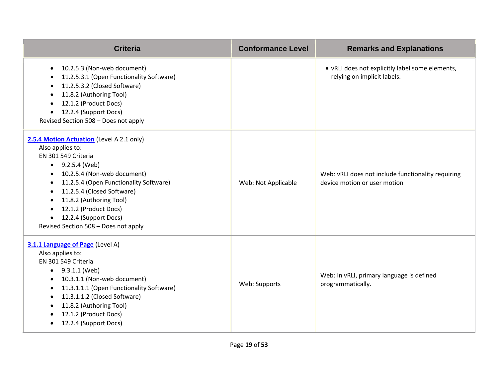| <b>Criteria</b>                                                                                                                                                                                                                                                                                                                                                                                 | <b>Conformance Level</b> | <b>Remarks and Explanations</b>                                                    |
|-------------------------------------------------------------------------------------------------------------------------------------------------------------------------------------------------------------------------------------------------------------------------------------------------------------------------------------------------------------------------------------------------|--------------------------|------------------------------------------------------------------------------------|
| 10.2.5.3 (Non-web document)<br>$\bullet$<br>11.2.5.3.1 (Open Functionality Software)<br>11.2.5.3.2 (Closed Software)<br>11.8.2 (Authoring Tool)<br>12.1.2 (Product Docs)<br>12.2.4 (Support Docs)<br>Revised Section 508 - Does not apply                                                                                                                                                       |                          | • vRLI does not explicitly label some elements,<br>relying on implicit labels.     |
| 2.5.4 Motion Actuation (Level A 2.1 only)<br>Also applies to:<br>EN 301 549 Criteria<br>$\bullet$ 9.2.5.4 (Web)<br>10.2.5.4 (Non-web document)<br>$\bullet$<br>11.2.5.4 (Open Functionality Software)<br>$\bullet$<br>11.2.5.4 (Closed Software)<br>$\bullet$<br>11.8.2 (Authoring Tool)<br>12.1.2 (Product Docs)<br>$\bullet$<br>12.2.4 (Support Docs)<br>Revised Section 508 - Does not apply | Web: Not Applicable      | Web: vRLI does not include functionality requiring<br>device motion or user motion |
| 3.1.1 Language of Page (Level A)<br>Also applies to:<br>EN 301 549 Criteria<br>$\bullet$ 9.3.1.1 (Web)<br>10.3.1.1 (Non-web document)<br>$\bullet$<br>11.3.1.1.1 (Open Functionality Software)<br>$\bullet$<br>11.3.1.1.2 (Closed Software)<br>$\bullet$<br>11.8.2 (Authoring Tool)<br>12.1.2 (Product Docs)<br>12.2.4 (Support Docs)<br>$\bullet$                                              | Web: Supports            | Web: In vRLI, primary language is defined<br>programmatically.                     |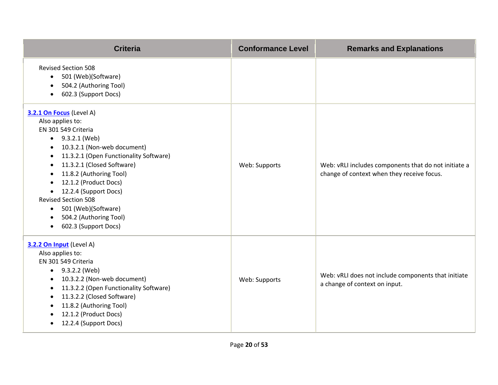| <b>Criteria</b>                                                                                                                                                                                                                                                                                                                                                                                                                                                         | <b>Conformance Level</b> | <b>Remarks and Explanations</b>                                                                    |
|-------------------------------------------------------------------------------------------------------------------------------------------------------------------------------------------------------------------------------------------------------------------------------------------------------------------------------------------------------------------------------------------------------------------------------------------------------------------------|--------------------------|----------------------------------------------------------------------------------------------------|
| <b>Revised Section 508</b><br>501 (Web)(Software)<br>$\bullet$<br>504.2 (Authoring Tool)<br>$\bullet$<br>602.3 (Support Docs)<br>$\bullet$                                                                                                                                                                                                                                                                                                                              |                          |                                                                                                    |
| 3.2.1 On Focus (Level A)<br>Also applies to:<br>EN 301 549 Criteria<br>$\bullet$ 9.3.2.1 (Web)<br>10.3.2.1 (Non-web document)<br>$\bullet$<br>11.3.2.1 (Open Functionality Software)<br>$\bullet$<br>11.3.2.1 (Closed Software)<br>$\bullet$<br>11.8.2 (Authoring Tool)<br>$\bullet$<br>12.1.2 (Product Docs)<br>12.2.4 (Support Docs)<br><b>Revised Section 508</b><br>501 (Web)(Software)<br>$\bullet$<br>504.2 (Authoring Tool)<br>$\bullet$<br>602.3 (Support Docs) | Web: Supports            | Web: vRLI includes components that do not initiate a<br>change of context when they receive focus. |
| 3.2.2 On Input (Level A)<br>Also applies to:<br>EN 301 549 Criteria<br>$\bullet$ 9.3.2.2 (Web)<br>10.3.2.2 (Non-web document)<br>$\bullet$<br>11.3.2.2 (Open Functionality Software)<br>$\bullet$<br>11.3.2.2 (Closed Software)<br>$\bullet$<br>11.8.2 (Authoring Tool)<br>12.1.2 (Product Docs)<br>$\bullet$<br>12.2.4 (Support Docs)<br>$\bullet$                                                                                                                     | Web: Supports            | Web: vRLI does not include components that initiate<br>a change of context on input.               |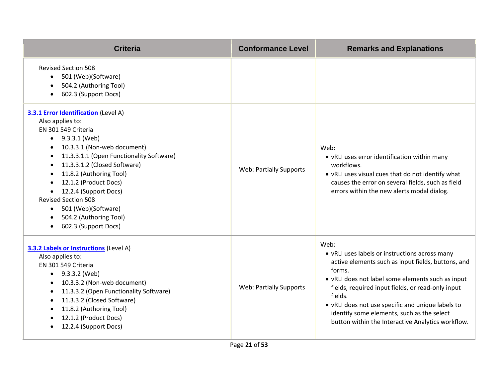| <b>Criteria</b>                                                                                                                                                                                                                                                                                                                                                                                                                     | <b>Conformance Level</b>       | <b>Remarks and Explanations</b>                                                                                                                                                                                                                                                                                                                                                                     |
|-------------------------------------------------------------------------------------------------------------------------------------------------------------------------------------------------------------------------------------------------------------------------------------------------------------------------------------------------------------------------------------------------------------------------------------|--------------------------------|-----------------------------------------------------------------------------------------------------------------------------------------------------------------------------------------------------------------------------------------------------------------------------------------------------------------------------------------------------------------------------------------------------|
| <b>Revised Section 508</b><br>501 (Web)(Software)<br>$\bullet$<br>504.2 (Authoring Tool)<br>602.3 (Support Docs)                                                                                                                                                                                                                                                                                                                    |                                |                                                                                                                                                                                                                                                                                                                                                                                                     |
| 3.3.1 Error Identification (Level A)<br>Also applies to:<br>EN 301 549 Criteria<br>$\bullet$ 9.3.3.1 (Web)<br>10.3.3.1 (Non-web document)<br>11.3.3.1.1 (Open Functionality Software)<br>11.3.3.1.2 (Closed Software)<br>$\bullet$<br>11.8.2 (Authoring Tool)<br>12.1.2 (Product Docs)<br>12.2.4 (Support Docs)<br><b>Revised Section 508</b><br>501 (Web)(Software)<br>$\bullet$<br>504.2 (Authoring Tool)<br>602.3 (Support Docs) | <b>Web: Partially Supports</b> | Web:<br>• vRLI uses error identification within many<br>workflows.<br>• vRLI uses visual cues that do not identify what<br>causes the error on several fields, such as field<br>errors within the new alerts modal dialog.                                                                                                                                                                          |
| <b>3.3.2 Labels or Instructions</b> (Level A)<br>Also applies to:<br>EN 301 549 Criteria<br>$\bullet$ 9.3.3.2 (Web)<br>10.3.3.2 (Non-web document)<br>11.3.3.2 (Open Functionality Software)<br>11.3.3.2 (Closed Software)<br>11.8.2 (Authoring Tool)<br>$\bullet$<br>12.1.2 (Product Docs)<br>12.2.4 (Support Docs)                                                                                                                | <b>Web: Partially Supports</b> | Web:<br>• vRLI uses labels or instructions across many<br>active elements such as input fields, buttons, and<br>forms.<br>• vRLI does not label some elements such as input<br>fields, required input fields, or read-only input<br>fields.<br>• vRLI does not use specific and unique labels to<br>identify some elements, such as the select<br>button within the Interactive Analytics workflow. |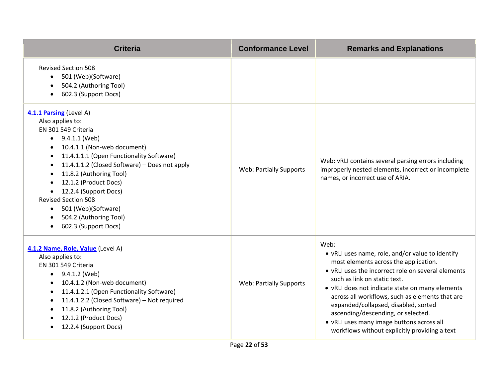| <b>Criteria</b>                                                                                                                                                                                                                                                                                                                                                                                                                                                   | <b>Conformance Level</b>       | <b>Remarks and Explanations</b>                                                                                                                                                                                                                                                                                                                                                                                                                                           |
|-------------------------------------------------------------------------------------------------------------------------------------------------------------------------------------------------------------------------------------------------------------------------------------------------------------------------------------------------------------------------------------------------------------------------------------------------------------------|--------------------------------|---------------------------------------------------------------------------------------------------------------------------------------------------------------------------------------------------------------------------------------------------------------------------------------------------------------------------------------------------------------------------------------------------------------------------------------------------------------------------|
| <b>Revised Section 508</b><br>501 (Web)(Software)<br>$\bullet$<br>504.2 (Authoring Tool)<br>602.3 (Support Docs)<br>$\bullet$                                                                                                                                                                                                                                                                                                                                     |                                |                                                                                                                                                                                                                                                                                                                                                                                                                                                                           |
| 4.1.1 Parsing (Level A)<br>Also applies to:<br>EN 301 549 Criteria<br>$\bullet$ 9.4.1.1 (Web)<br>10.4.1.1 (Non-web document)<br>11.4.1.1.1 (Open Functionality Software)<br>$\bullet$<br>11.4.1.1.2 (Closed Software) - Does not apply<br>$\bullet$<br>11.8.2 (Authoring Tool)<br>$\bullet$<br>12.1.2 (Product Docs)<br>12.2.4 (Support Docs)<br><b>Revised Section 508</b><br>501 (Web)(Software)<br>$\bullet$<br>504.2 (Authoring Tool)<br>602.3 (Support Docs) | <b>Web: Partially Supports</b> | Web: vRLI contains several parsing errors including<br>improperly nested elements, incorrect or incomplete<br>names, or incorrect use of ARIA.                                                                                                                                                                                                                                                                                                                            |
| 4.1.2 Name, Role, Value (Level A)<br>Also applies to:<br>EN 301 549 Criteria<br>$\bullet$ 9.4.1.2 (Web)<br>10.4.1.2 (Non-web document)<br>11.4.1.2.1 (Open Functionality Software)<br>$\bullet$<br>11.4.1.2.2 (Closed Software) - Not required<br>$\bullet$<br>11.8.2 (Authoring Tool)<br>$\bullet$<br>12.1.2 (Product Docs)<br>12.2.4 (Support Docs)                                                                                                             | <b>Web: Partially Supports</b> | Web:<br>• vRLI uses name, role, and/or value to identify<br>most elements across the application.<br>• vRLI uses the incorrect role on several elements<br>such as link on static text.<br>• vRLI does not indicate state on many elements<br>across all workflows, such as elements that are<br>expanded/collapsed, disabled, sorted<br>ascending/descending, or selected.<br>• vRLI uses many image buttons across all<br>workflows without explicitly providing a text |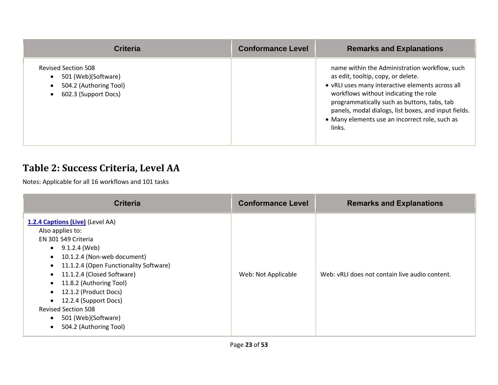| <b>Criteria</b>                                                                                     | <b>Conformance Level</b> | <b>Remarks and Explanations</b>                                                                                                                                                                                                                                                                                                                     |
|-----------------------------------------------------------------------------------------------------|--------------------------|-----------------------------------------------------------------------------------------------------------------------------------------------------------------------------------------------------------------------------------------------------------------------------------------------------------------------------------------------------|
| <b>Revised Section 508</b><br>501 (Web)(Software)<br>504.2 (Authoring Tool)<br>602.3 (Support Docs) |                          | name within the Administration workflow, such<br>as edit, tooltip, copy, or delete.<br>• vRLI uses many interactive elements across all<br>workflows without indicating the role<br>programmatically such as buttons, tabs, tab<br>panels, modal dialogs, list boxes, and input fields.<br>• Many elements use an incorrect role, such as<br>links. |

#### **Table 2: Success Criteria, Level AA**

| <b>Criteria</b>                                                                                                                                                                                                                                                                                                                                                                                                                                            | <b>Conformance Level</b> | <b>Remarks and Explanations</b>                |
|------------------------------------------------------------------------------------------------------------------------------------------------------------------------------------------------------------------------------------------------------------------------------------------------------------------------------------------------------------------------------------------------------------------------------------------------------------|--------------------------|------------------------------------------------|
| 1.2.4 Captions (Live) (Level AA)<br>Also applies to:<br>EN 301 549 Criteria<br>9.1.2.4 (Web)<br>$\bullet$<br>10.1.2.4 (Non-web document)<br>$\bullet$<br>11.1.2.4 (Open Functionality Software)<br>$\bullet$<br>11.1.2.4 (Closed Software)<br>$\bullet$<br>11.8.2 (Authoring Tool)<br>$\bullet$<br>12.1.2 (Product Docs)<br>$\bullet$<br>12.2.4 (Support Docs)<br><b>Revised Section 508</b><br>501 (Web)(Software)<br>$\bullet$<br>504.2 (Authoring Tool) | Web: Not Applicable      | Web: vRLI does not contain live audio content. |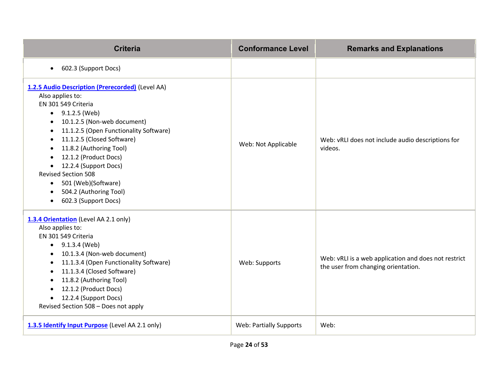| <b>Criteria</b>                                                                                                                                                                                                                                                                                                                                                                                                                               | <b>Conformance Level</b>       | <b>Remarks and Explanations</b>                                                             |
|-----------------------------------------------------------------------------------------------------------------------------------------------------------------------------------------------------------------------------------------------------------------------------------------------------------------------------------------------------------------------------------------------------------------------------------------------|--------------------------------|---------------------------------------------------------------------------------------------|
| 602.3 (Support Docs)<br>$\bullet$                                                                                                                                                                                                                                                                                                                                                                                                             |                                |                                                                                             |
| 1.2.5 Audio Description (Prerecorded) (Level AA)<br>Also applies to:<br>EN 301 549 Criteria<br>$\bullet$ 9.1.2.5 (Web)<br>10.1.2.5 (Non-web document)<br>11.1.2.5 (Open Functionality Software)<br>11.1.2.5 (Closed Software)<br>$\bullet$<br>11.8.2 (Authoring Tool)<br>12.1.2 (Product Docs)<br>12.2.4 (Support Docs)<br><b>Revised Section 508</b><br>• 501 (Web)(Software)<br>504.2 (Authoring Tool)<br>602.3 (Support Docs)<br>$\bullet$ | Web: Not Applicable            | Web: vRLI does not include audio descriptions for<br>videos.                                |
| 1.3.4 Orientation (Level AA 2.1 only)<br>Also applies to:<br>EN 301 549 Criteria<br>$\bullet$ 9.1.3.4 (Web)<br>10.1.3.4 (Non-web document)<br>$\bullet$<br>11.1.3.4 (Open Functionality Software)<br>$\bullet$<br>11.1.3.4 (Closed Software)<br>11.8.2 (Authoring Tool)<br>12.1.2 (Product Docs)<br>$\bullet$<br>12.2.4 (Support Docs)<br>$\bullet$<br>Revised Section 508 - Does not apply                                                   | Web: Supports                  | Web: vRLI is a web application and does not restrict<br>the user from changing orientation. |
| 1.3.5 Identify Input Purpose (Level AA 2.1 only)                                                                                                                                                                                                                                                                                                                                                                                              | <b>Web: Partially Supports</b> | Web:                                                                                        |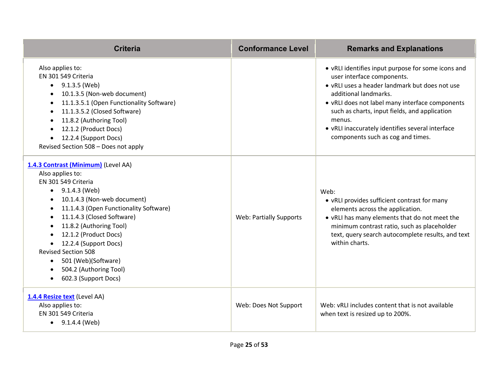| <b>Criteria</b>                                                                                                                                                                                                                                                                                                                                                                                                      | <b>Conformance Level</b>       | <b>Remarks and Explanations</b>                                                                                                                                                                                                                                                                                                                                    |
|----------------------------------------------------------------------------------------------------------------------------------------------------------------------------------------------------------------------------------------------------------------------------------------------------------------------------------------------------------------------------------------------------------------------|--------------------------------|--------------------------------------------------------------------------------------------------------------------------------------------------------------------------------------------------------------------------------------------------------------------------------------------------------------------------------------------------------------------|
| Also applies to:<br>EN 301 549 Criteria<br>9.1.3.5 (Web)<br>10.1.3.5 (Non-web document)<br>11.1.3.5.1 (Open Functionality Software)<br>11.1.3.5.2 (Closed Software)<br>11.8.2 (Authoring Tool)<br>12.1.2 (Product Docs)<br>12.2.4 (Support Docs)<br>$\bullet$<br>Revised Section 508 - Does not apply                                                                                                                |                                | • vRLI identifies input purpose for some icons and<br>user interface components.<br>• vRLI uses a header landmark but does not use<br>additional landmarks.<br>• vRLI does not label many interface components<br>such as charts, input fields, and application<br>menus.<br>• vRLI inaccurately identifies several interface<br>components such as cog and times. |
| 1.4.3 Contrast (Minimum) (Level AA)<br>Also applies to:<br>EN 301 549 Criteria<br>9.1.4.3 (Web)<br>10.1.4.3 (Non-web document)<br>11.1.4.3 (Open Functionality Software)<br>$\bullet$<br>11.1.4.3 (Closed Software)<br>11.8.2 (Authoring Tool)<br>12.1.2 (Product Docs)<br>12.2.4 (Support Docs)<br><b>Revised Section 508</b><br>501 (Web)(Software)<br>$\bullet$<br>504.2 (Authoring Tool)<br>602.3 (Support Docs) | <b>Web: Partially Supports</b> | Web:<br>• vRLI provides sufficient contrast for many<br>elements across the application.<br>. vRLI has many elements that do not meet the<br>minimum contrast ratio, such as placeholder<br>text, query search autocomplete results, and text<br>within charts.                                                                                                    |
| 1.4.4 Resize text (Level AA)<br>Also applies to:<br>EN 301 549 Criteria<br>$\bullet$ 9.1.4.4 (Web)                                                                                                                                                                                                                                                                                                                   | Web: Does Not Support          | Web: vRLI includes content that is not available<br>when text is resized up to 200%.                                                                                                                                                                                                                                                                               |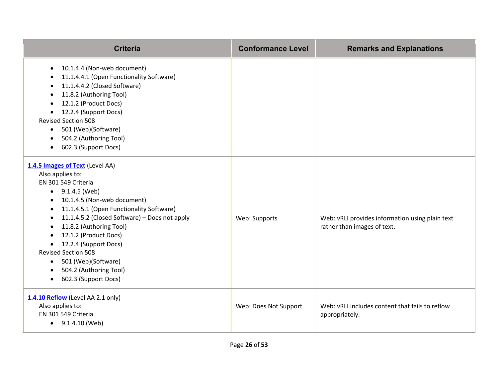| <b>Criteria</b>                                                                                                                                                                                                                                                                                                                                                                                                         | <b>Conformance Level</b> | <b>Remarks and Explanations</b>                                                |
|-------------------------------------------------------------------------------------------------------------------------------------------------------------------------------------------------------------------------------------------------------------------------------------------------------------------------------------------------------------------------------------------------------------------------|--------------------------|--------------------------------------------------------------------------------|
| 10.1.4.4 (Non-web document)<br>$\bullet$<br>11.1.4.4.1 (Open Functionality Software)<br>11.1.4.4.2 (Closed Software)<br>11.8.2 (Authoring Tool)<br>12.1.2 (Product Docs)<br>12.2.4 (Support Docs)<br><b>Revised Section 508</b><br>501 (Web)(Software)<br>$\bullet$<br>504.2 (Authoring Tool)<br>602.3 (Support Docs)                                                                                                   |                          |                                                                                |
| 1.4.5 Images of Text (Level AA)<br>Also applies to:<br>EN 301 549 Criteria<br>$\bullet$ 9.1.4.5 (Web)<br>10.1.4.5 (Non-web document)<br>11.1.4.5.1 (Open Functionality Software)<br>11.1.4.5.2 (Closed Software) - Does not apply<br>11.8.2 (Authoring Tool)<br>12.1.2 (Product Docs)<br>12.2.4 (Support Docs)<br><b>Revised Section 508</b><br>• 501 (Web)(Software)<br>504.2 (Authoring Tool)<br>602.3 (Support Docs) | Web: Supports            | Web: vRLI provides information using plain text<br>rather than images of text. |
| 1.4.10 Reflow (Level AA 2.1 only)<br>Also applies to:<br>EN 301 549 Criteria<br>$\bullet$ 9.1.4.10 (Web)                                                                                                                                                                                                                                                                                                                | Web: Does Not Support    | Web: vRLI includes content that fails to reflow<br>appropriately.              |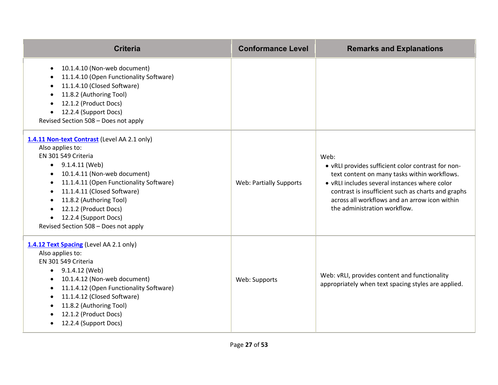| <b>Criteria</b>                                                                                                                                                                                                                                                                                                                                                                                                                  | <b>Conformance Level</b> | <b>Remarks and Explanations</b>                                                                                                                                                                                                                                                                    |
|----------------------------------------------------------------------------------------------------------------------------------------------------------------------------------------------------------------------------------------------------------------------------------------------------------------------------------------------------------------------------------------------------------------------------------|--------------------------|----------------------------------------------------------------------------------------------------------------------------------------------------------------------------------------------------------------------------------------------------------------------------------------------------|
| 10.1.4.10 (Non-web document)<br>$\bullet$<br>11.1.4.10 (Open Functionality Software)<br>11.1.4.10 (Closed Software)<br>11.8.2 (Authoring Tool)<br>$\bullet$<br>12.1.2 (Product Docs)<br>12.2.4 (Support Docs)<br>Revised Section 508 - Does not apply                                                                                                                                                                            |                          |                                                                                                                                                                                                                                                                                                    |
| 1.4.11 Non-text Contrast (Level AA 2.1 only)<br>Also applies to:<br>EN 301 549 Criteria<br>$\bullet$ 9.1.4.11 (Web)<br>10.1.4.11 (Non-web document)<br>$\bullet$<br>11.1.4.11 (Open Functionality Software)<br>$\bullet$<br>11.1.4.11 (Closed Software)<br>$\bullet$<br>11.8.2 (Authoring Tool)<br>$\bullet$<br>12.1.2 (Product Docs)<br>$\bullet$<br>12.2.4 (Support Docs)<br>$\bullet$<br>Revised Section 508 - Does not apply | Web: Partially Supports  | Web:<br>• vRLI provides sufficient color contrast for non-<br>text content on many tasks within workflows.<br>• vRLI includes several instances where color<br>contrast is insufficient such as charts and graphs<br>across all workflows and an arrow icon within<br>the administration workflow. |
| 1.4.12 Text Spacing (Level AA 2.1 only)<br>Also applies to:<br>EN 301 549 Criteria<br>$\bullet$ 9.1.4.12 (Web)<br>10.1.4.12 (Non-web document)<br>$\bullet$<br>11.1.4.12 (Open Functionality Software)<br>$\bullet$<br>11.1.4.12 (Closed Software)<br>$\bullet$<br>11.8.2 (Authoring Tool)<br>12.1.2 (Product Docs)<br>12.2.4 (Support Docs)<br>$\bullet$                                                                        | Web: Supports            | Web: vRLI, provides content and functionality<br>appropriately when text spacing styles are applied.                                                                                                                                                                                               |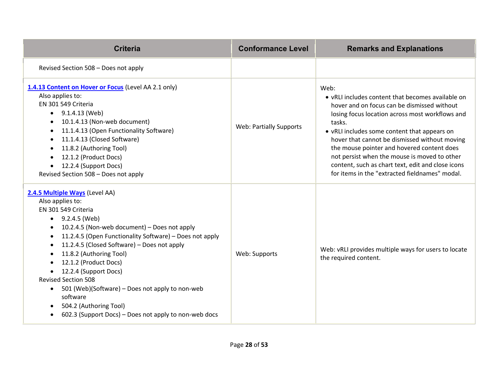| <b>Criteria</b>                                                                                                                                                                                                                                                                                                                                                                                                                                                                                                                                                                                     | <b>Conformance Level</b> | <b>Remarks and Explanations</b>                                                                                                                                                                                                                                                                                                                                                                                                                                             |
|-----------------------------------------------------------------------------------------------------------------------------------------------------------------------------------------------------------------------------------------------------------------------------------------------------------------------------------------------------------------------------------------------------------------------------------------------------------------------------------------------------------------------------------------------------------------------------------------------------|--------------------------|-----------------------------------------------------------------------------------------------------------------------------------------------------------------------------------------------------------------------------------------------------------------------------------------------------------------------------------------------------------------------------------------------------------------------------------------------------------------------------|
| Revised Section 508 - Does not apply                                                                                                                                                                                                                                                                                                                                                                                                                                                                                                                                                                |                          |                                                                                                                                                                                                                                                                                                                                                                                                                                                                             |
| 1.4.13 Content on Hover or Focus (Level AA 2.1 only)<br>Also applies to:<br>EN 301 549 Criteria<br>$\bullet$ 9.1.4.13 (Web)<br>10.1.4.13 (Non-web document)<br>11.1.4.13 (Open Functionality Software)<br>$\bullet$<br>11.1.4.13 (Closed Software)<br>$\bullet$<br>11.8.2 (Authoring Tool)<br>$\bullet$<br>12.1.2 (Product Docs)<br>12.2.4 (Support Docs)<br>$\bullet$<br>Revised Section 508 - Does not apply                                                                                                                                                                                      | Web: Partially Supports  | Web:<br>• vRLI includes content that becomes available on<br>hover and on focus can be dismissed without<br>losing focus location across most workflows and<br>tasks.<br>• vRLI includes some content that appears on<br>hover that cannot be dismissed without moving<br>the mouse pointer and hovered content does<br>not persist when the mouse is moved to other<br>content, such as chart text, edit and close icons<br>for items in the "extracted fieldnames" modal. |
| 2.4.5 Multiple Ways (Level AA)<br>Also applies to:<br>EN 301 549 Criteria<br>• $9.2.4.5$ (Web)<br>10.2.4.5 (Non-web document) - Does not apply<br>$\bullet$<br>11.2.4.5 (Open Functionality Software) - Does not apply<br>$\bullet$<br>11.2.4.5 (Closed Software) - Does not apply<br>11.8.2 (Authoring Tool)<br>$\bullet$<br>12.1.2 (Product Docs)<br>12.2.4 (Support Docs)<br><b>Revised Section 508</b><br>501 (Web)(Software) – Does not apply to non-web<br>$\bullet$<br>software<br>504.2 (Authoring Tool)<br>$\bullet$<br>602.3 (Support Docs) – Does not apply to non-web docs<br>$\bullet$ | Web: Supports            | Web: vRLI provides multiple ways for users to locate<br>the required content.                                                                                                                                                                                                                                                                                                                                                                                               |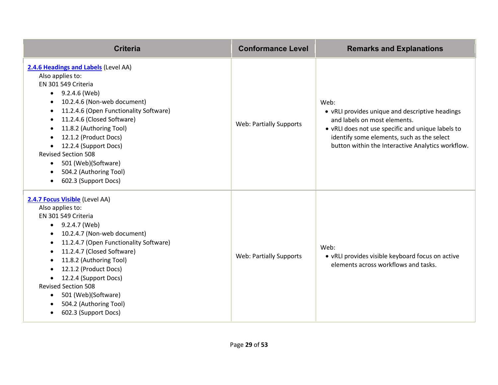| <b>Criteria</b>                                                                                                                                                                                                                                                                                                                                                                                                                                                                             | <b>Conformance Level</b>       | <b>Remarks and Explanations</b>                                                                                                                                                                                                                 |
|---------------------------------------------------------------------------------------------------------------------------------------------------------------------------------------------------------------------------------------------------------------------------------------------------------------------------------------------------------------------------------------------------------------------------------------------------------------------------------------------|--------------------------------|-------------------------------------------------------------------------------------------------------------------------------------------------------------------------------------------------------------------------------------------------|
| 2.4.6 Headings and Labels (Level AA)<br>Also applies to:<br>EN 301 549 Criteria<br>9.2.4.6 (Web)<br>$\bullet$<br>10.2.4.6 (Non-web document)<br>٠<br>11.2.4.6 (Open Functionality Software)<br>$\bullet$<br>11.2.4.6 (Closed Software)<br>$\bullet$<br>11.8.2 (Authoring Tool)<br>$\bullet$<br>12.1.2 (Product Docs)<br>12.2.4 (Support Docs)<br><b>Revised Section 508</b><br>501 (Web)(Software)<br>$\bullet$<br>504.2 (Authoring Tool)<br>$\bullet$<br>602.3 (Support Docs)<br>$\bullet$ | <b>Web: Partially Supports</b> | Web:<br>• vRLI provides unique and descriptive headings<br>and labels on most elements.<br>• vRLI does not use specific and unique labels to<br>identify some elements, such as the select<br>button within the Interactive Analytics workflow. |
| 2.4.7 Focus Visible (Level AA)<br>Also applies to:<br>EN 301 549 Criteria<br>• $9.2.4.7$ (Web)<br>10.2.4.7 (Non-web document)<br>$\bullet$<br>11.2.4.7 (Open Functionality Software)<br>٠<br>11.2.4.7 (Closed Software)<br>٠<br>11.8.2 (Authoring Tool)<br>$\bullet$<br>12.1.2 (Product Docs)<br>12.2.4 (Support Docs)<br><b>Revised Section 508</b><br>501 (Web)(Software)<br>$\bullet$<br>504.2 (Authoring Tool)<br>602.3 (Support Docs)<br>$\bullet$                                     | <b>Web: Partially Supports</b> | Web:<br>• vRLI provides visible keyboard focus on active<br>elements across workflows and tasks.                                                                                                                                                |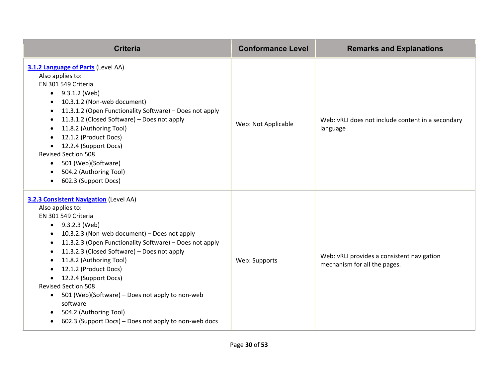| <b>Criteria</b>                                                                                                                                                                                                                                                                                                                                                                                                                                                                                                                                                                                             | <b>Conformance Level</b> | <b>Remarks and Explanations</b>                                            |
|-------------------------------------------------------------------------------------------------------------------------------------------------------------------------------------------------------------------------------------------------------------------------------------------------------------------------------------------------------------------------------------------------------------------------------------------------------------------------------------------------------------------------------------------------------------------------------------------------------------|--------------------------|----------------------------------------------------------------------------|
| 3.1.2 Language of Parts (Level AA)<br>Also applies to:<br>EN 301 549 Criteria<br>$\bullet$ 9.3.1.2 (Web)<br>10.3.1.2 (Non-web document)<br>11.3.1.2 (Open Functionality Software) - Does not apply<br>$\bullet$<br>11.3.1.2 (Closed Software) - Does not apply<br>$\bullet$<br>11.8.2 (Authoring Tool)<br>12.1.2 (Product Docs)<br>12.2.4 (Support Docs)<br>$\bullet$<br><b>Revised Section 508</b><br>501 (Web)(Software)<br>$\bullet$<br>504.2 (Authoring Tool)<br>602.3 (Support Docs)<br>$\bullet$                                                                                                      | Web: Not Applicable      | Web: vRLI does not include content in a secondary<br>language              |
| <b>3.2.3 Consistent Navigation (Level AA)</b><br>Also applies to:<br>EN 301 549 Criteria<br>$\bullet$ 9.3.2.3 (Web)<br>10.3.2.3 (Non-web document) - Does not apply<br>11.3.2.3 (Open Functionality Software) - Does not apply<br>11.3.2.3 (Closed Software) - Does not apply<br>$\bullet$<br>11.8.2 (Authoring Tool)<br>12.1.2 (Product Docs)<br>12.2.4 (Support Docs)<br>$\bullet$<br><b>Revised Section 508</b><br>501 (Web)(Software) - Does not apply to non-web<br>$\bullet$<br>software<br>504.2 (Authoring Tool)<br>$\bullet$<br>602.3 (Support Docs) - Does not apply to non-web docs<br>$\bullet$ | Web: Supports            | Web: vRLI provides a consistent navigation<br>mechanism for all the pages. |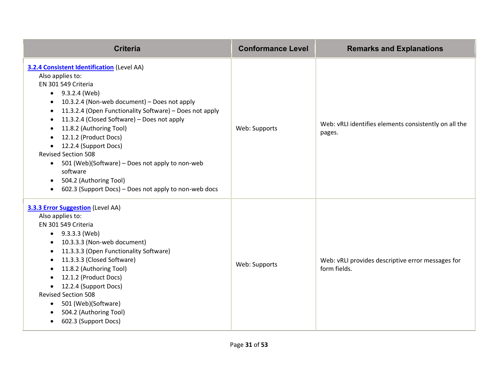| <b>Criteria</b>                                                                                                                                                                                                                                                                                                                                                                                                                                                                                                                                                                                                               | <b>Conformance Level</b> | <b>Remarks and Explanations</b>                                   |
|-------------------------------------------------------------------------------------------------------------------------------------------------------------------------------------------------------------------------------------------------------------------------------------------------------------------------------------------------------------------------------------------------------------------------------------------------------------------------------------------------------------------------------------------------------------------------------------------------------------------------------|--------------------------|-------------------------------------------------------------------|
| 3.2.4 Consistent Identification (Level AA)<br>Also applies to:<br>EN 301 549 Criteria<br>9.3.2.4 (Web)<br>$\bullet$<br>10.3.2.4 (Non-web document) - Does not apply<br>$\bullet$<br>11.3.2.4 (Open Functionality Software) - Does not apply<br>$\bullet$<br>11.3.2.4 (Closed Software) - Does not apply<br>$\bullet$<br>11.8.2 (Authoring Tool)<br>٠<br>12.1.2 (Product Docs)<br>12.2.4 (Support Docs)<br>$\bullet$<br><b>Revised Section 508</b><br>501 (Web)(Software) - Does not apply to non-web<br>$\bullet$<br>software<br>504.2 (Authoring Tool)<br>$\bullet$<br>602.3 (Support Docs) - Does not apply to non-web docs | Web: Supports            | Web: vRLI identifies elements consistently on all the<br>pages.   |
| <b>3.3.3 Error Suggestion</b> (Level AA)<br>Also applies to:<br>EN 301 549 Criteria<br>$\bullet$ 9.3.3.3 (Web)<br>10.3.3.3 (Non-web document)<br>$\bullet$<br>11.3.3.3 (Open Functionality Software)<br>$\bullet$<br>11.3.3.3 (Closed Software)<br>$\bullet$<br>11.8.2 (Authoring Tool)<br>12.1.2 (Product Docs)<br>12.2.4 (Support Docs)<br><b>Revised Section 508</b><br>501 (Web)(Software)<br>$\bullet$<br>504.2 (Authoring Tool)<br>602.3 (Support Docs)<br>٠                                                                                                                                                            | Web: Supports            | Web: vRLI provides descriptive error messages for<br>form fields. |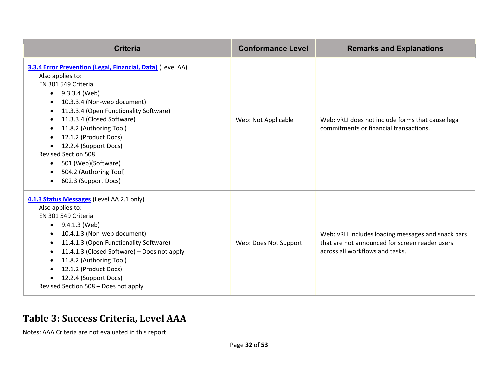| <b>Criteria</b>                                                                                                                                                                                                                                                                                                                                                                                                                                            | <b>Conformance Level</b> | <b>Remarks and Explanations</b>                                                                                                         |
|------------------------------------------------------------------------------------------------------------------------------------------------------------------------------------------------------------------------------------------------------------------------------------------------------------------------------------------------------------------------------------------------------------------------------------------------------------|--------------------------|-----------------------------------------------------------------------------------------------------------------------------------------|
| 3.3.4 Error Prevention (Legal, Financial, Data) (Level AA)<br>Also applies to:<br>EN 301 549 Criteria<br>$\bullet$ 9.3.3.4 (Web)<br>10.3.3.4 (Non-web document)<br>11.3.3.4 (Open Functionality Software)<br>11.3.3.4 (Closed Software)<br>$\bullet$<br>11.8.2 (Authoring Tool)<br>12.1.2 (Product Docs)<br>12.2.4 (Support Docs)<br><b>Revised Section 508</b><br>501 (Web)(Software)<br>$\bullet$<br>504.2 (Authoring Tool)<br>٠<br>602.3 (Support Docs) | Web: Not Applicable      | Web: vRLI does not include forms that cause legal<br>commitments or financial transactions.                                             |
| 4.1.3 Status Messages (Level AA 2.1 only)<br>Also applies to:<br>EN 301 549 Criteria<br>9.4.1.3 (Web)<br>$\bullet$<br>10.4.1.3 (Non-web document)<br>$\bullet$<br>11.4.1.3 (Open Functionality Software)<br>$\bullet$<br>11.4.1.3 (Closed Software) - Does not apply<br>11.8.2 (Authoring Tool)<br>12.1.2 (Product Docs)<br>12.2.4 (Support Docs)<br>Revised Section 508 - Does not apply                                                                  | Web: Does Not Support    | Web: vRLI includes loading messages and snack bars<br>that are not announced for screen reader users<br>across all workflows and tasks. |

#### **Table 3: Success Criteria, Level AAA**

Notes: AAA Criteria are not evaluated in this report.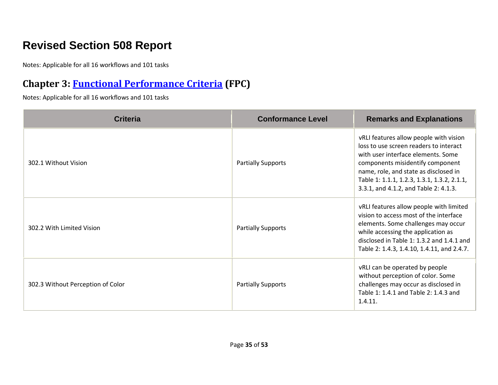# **Revised Section 508 Report**

Notes: Applicable for all 16 workflows and 101 tasks

## **Chapter 3: [Functional Performance Criteria](https://www.access-board.gov/guidelines-and-standards/communications-and-it/about-the-ict-refresh/final-rule/text-of-the-standards-and-guidelines#302-functional-performance-criteria) (FPC)**

| <b>Criteria</b>                   | <b>Conformance Level</b>  | <b>Remarks and Explanations</b>                                                                                                                                                                                                                                                             |
|-----------------------------------|---------------------------|---------------------------------------------------------------------------------------------------------------------------------------------------------------------------------------------------------------------------------------------------------------------------------------------|
| 302.1 Without Vision              | <b>Partially Supports</b> | vRLI features allow people with vision<br>loss to use screen readers to interact<br>with user interface elements. Some<br>components misidentify component<br>name, role, and state as disclosed in<br>Table 1: 1.1.1, 1.2.3, 1.3.1, 1.3.2, 2.1.1,<br>3.3.1, and 4.1.2, and Table 2: 4.1.3. |
| 302.2 With Limited Vision         | <b>Partially Supports</b> | vRLI features allow people with limited<br>vision to access most of the interface<br>elements. Some challenges may occur<br>while accessing the application as<br>disclosed in Table 1: 1.3.2 and 1.4.1 and<br>Table 2: 1.4.3, 1.4.10, 1.4.11, and 2.4.7.                                   |
| 302.3 Without Perception of Color | <b>Partially Supports</b> | vRLI can be operated by people<br>without perception of color. Some<br>challenges may occur as disclosed in<br>Table 1: 1.4.1 and Table 2: 1.4.3 and<br>1.4.11.                                                                                                                             |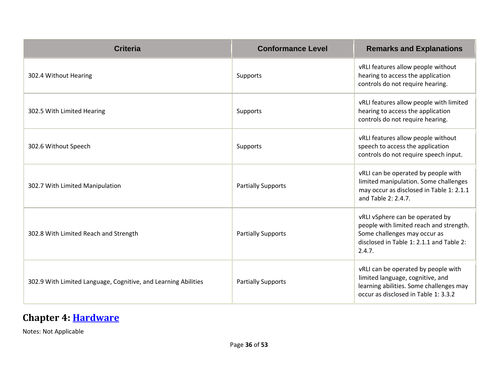| <b>Criteria</b>                                                | <b>Conformance Level</b>  | <b>Remarks and Explanations</b>                                                                                                                                  |
|----------------------------------------------------------------|---------------------------|------------------------------------------------------------------------------------------------------------------------------------------------------------------|
| 302.4 Without Hearing                                          | Supports                  | vRLI features allow people without<br>hearing to access the application<br>controls do not require hearing.                                                      |
| 302.5 With Limited Hearing                                     | Supports                  | vRLI features allow people with limited<br>hearing to access the application<br>controls do not require hearing.                                                 |
| 302.6 Without Speech                                           | Supports                  | vRLI features allow people without<br>speech to access the application<br>controls do not require speech input.                                                  |
| 302.7 With Limited Manipulation                                | <b>Partially Supports</b> | vRLI can be operated by people with<br>limited manipulation. Some challenges<br>may occur as disclosed in Table 1: 2.1.1<br>and Table 2: 2.4.7.                  |
| 302.8 With Limited Reach and Strength                          | <b>Partially Supports</b> | vRLI vSphere can be operated by<br>people with limited reach and strength.<br>Some challenges may occur as<br>disclosed in Table 1: 2.1.1 and Table 2:<br>2.4.7. |
| 302.9 With Limited Language, Cognitive, and Learning Abilities | <b>Partially Supports</b> | vRLI can be operated by people with<br>limited language, cognitive, and<br>learning abilities. Some challenges may<br>occur as disclosed in Table 1: 3.3.2       |

#### **Chapter 4: [Hardware](https://www.access-board.gov/guidelines-and-standards/communications-and-it/about-the-ict-refresh/final-rule/text-of-the-standards-and-guidelines#401-general)**

Notes: Not Applicable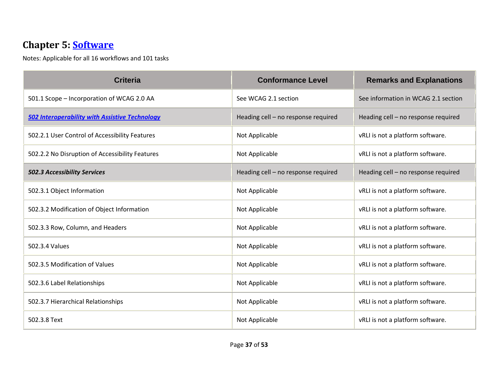#### **Chapter 5: [Software](https://www.access-board.gov/guidelines-and-standards/communications-and-it/about-the-ict-refresh/final-rule/text-of-the-standards-and-guidelines#501-general)**

| <b>Criteria</b>                                       | <b>Conformance Level</b>            | <b>Remarks and Explanations</b>     |
|-------------------------------------------------------|-------------------------------------|-------------------------------------|
| 501.1 Scope - Incorporation of WCAG 2.0 AA            | See WCAG 2.1 section                | See information in WCAG 2.1 section |
| <b>502 Interoperability with Assistive Technology</b> | Heading cell - no response required | Heading cell - no response required |
| 502.2.1 User Control of Accessibility Features        | Not Applicable                      | vRLI is not a platform software.    |
| 502.2.2 No Disruption of Accessibility Features       | Not Applicable                      | vRLI is not a platform software.    |
| 502.3 Accessibility Services                          | Heading cell - no response required | Heading cell - no response required |
| 502.3.1 Object Information                            | Not Applicable                      | vRLI is not a platform software.    |
| 502.3.2 Modification of Object Information            | Not Applicable                      | vRLI is not a platform software.    |
| 502.3.3 Row, Column, and Headers                      | Not Applicable                      | vRLI is not a platform software.    |
| 502.3.4 Values                                        | Not Applicable                      | vRLI is not a platform software.    |
| 502.3.5 Modification of Values                        | Not Applicable                      | vRLI is not a platform software.    |
| 502.3.6 Label Relationships                           | Not Applicable                      | vRLI is not a platform software.    |
| 502.3.7 Hierarchical Relationships                    | Not Applicable                      | vRLI is not a platform software.    |
| 502.3.8 Text                                          | Not Applicable                      | vRLI is not a platform software.    |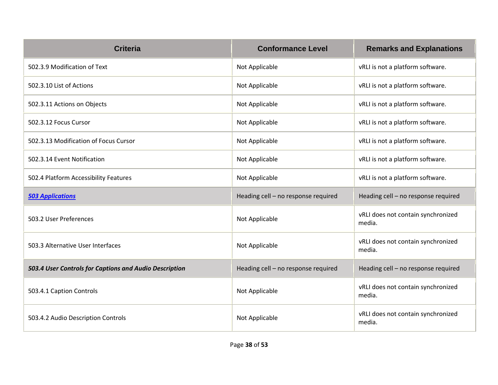| <b>Criteria</b>                                        | <b>Conformance Level</b>            | <b>Remarks and Explanations</b>              |
|--------------------------------------------------------|-------------------------------------|----------------------------------------------|
| 502.3.9 Modification of Text                           | Not Applicable                      | vRLI is not a platform software.             |
| 502.3.10 List of Actions                               | Not Applicable                      | vRLI is not a platform software.             |
| 502.3.11 Actions on Objects                            | Not Applicable                      | vRLI is not a platform software.             |
| 502.3.12 Focus Cursor                                  | Not Applicable                      | vRLI is not a platform software.             |
| 502.3.13 Modification of Focus Cursor                  | Not Applicable                      | vRLI is not a platform software.             |
| 502.3.14 Event Notification                            | Not Applicable                      | vRLI is not a platform software.             |
| 502.4 Platform Accessibility Features                  | Not Applicable                      | vRLI is not a platform software.             |
| <b>503 Applications</b>                                | Heading cell - no response required | Heading cell - no response required          |
| 503.2 User Preferences                                 | Not Applicable                      | vRLI does not contain synchronized<br>media. |
| 503.3 Alternative User Interfaces                      | Not Applicable                      | vRLI does not contain synchronized<br>media. |
| 503.4 User Controls for Captions and Audio Description | Heading cell - no response required | Heading cell - no response required          |
| 503.4.1 Caption Controls                               | Not Applicable                      | vRLI does not contain synchronized<br>media. |
| 503.4.2 Audio Description Controls                     | Not Applicable                      | vRLI does not contain synchronized<br>media. |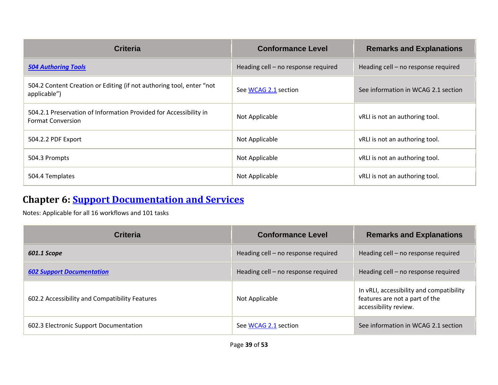| <b>Criteria</b>                                                                               | <b>Conformance Level</b>            | <b>Remarks and Explanations</b>     |
|-----------------------------------------------------------------------------------------------|-------------------------------------|-------------------------------------|
| <b>504 Authoring Tools</b>                                                                    | Heading cell - no response required | Heading cell - no response required |
| 504.2 Content Creation or Editing (if not authoring tool, enter "not<br>applicable")          | See WCAG 2.1 section                | See information in WCAG 2.1 section |
| 504.2.1 Preservation of Information Provided for Accessibility in<br><b>Format Conversion</b> | Not Applicable                      | vRLI is not an authoring tool.      |
| 504.2.2 PDF Export                                                                            | Not Applicable                      | vRLI is not an authoring tool.      |
| 504.3 Prompts                                                                                 | Not Applicable                      | vRLI is not an authoring tool.      |
| 504.4 Templates                                                                               | Not Applicable                      | vRLI is not an authoring tool.      |

#### **Chapter 6: [Support Documentation and Services](https://www.access-board.gov/guidelines-and-standards/communications-and-it/about-the-ict-refresh/final-rule/text-of-the-standards-and-guidelines#601-general)**

| <b>Criteria</b>                                | <b>Conformance Level</b>            | <b>Remarks and Explanations</b>                                                                     |
|------------------------------------------------|-------------------------------------|-----------------------------------------------------------------------------------------------------|
| 601.1 Scope                                    | Heading cell - no response required | Heading cell - no response required                                                                 |
| <b>602 Support Documentation</b>               | Heading cell - no response required | Heading cell - no response required                                                                 |
| 602.2 Accessibility and Compatibility Features | Not Applicable                      | In vRLI, accessibility and compatibility<br>features are not a part of the<br>accessibility review. |
| 602.3 Electronic Support Documentation         | See WCAG 2.1 section                | See information in WCAG 2.1 section                                                                 |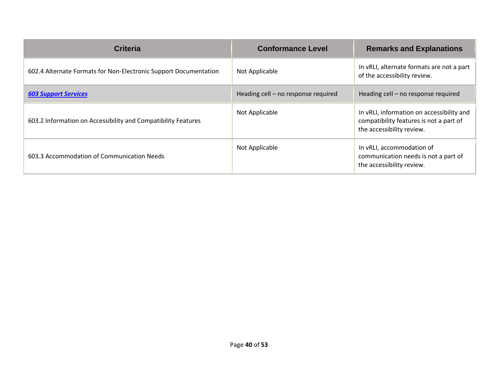| <b>Criteria</b>                                                  | <b>Conformance Level</b>            | <b>Remarks and Explanations</b>                                                                                   |
|------------------------------------------------------------------|-------------------------------------|-------------------------------------------------------------------------------------------------------------------|
| 602.4 Alternate Formats for Non-Electronic Support Documentation | Not Applicable                      | In vRLI, alternate formats are not a part<br>of the accessibility review.                                         |
| <b>603 Support Services</b>                                      | Heading cell - no response required | Heading cell - no response required                                                                               |
| 603.2 Information on Accessibility and Compatibility Features    | Not Applicable                      | In vRLI, information on accessibility and<br>compatibility features is not a part of<br>the accessibility review. |
| 603.3 Accommodation of Communication Needs                       | Not Applicable                      | In vRLI, accommodation of<br>communication needs is not a part of<br>the accessibility review.                    |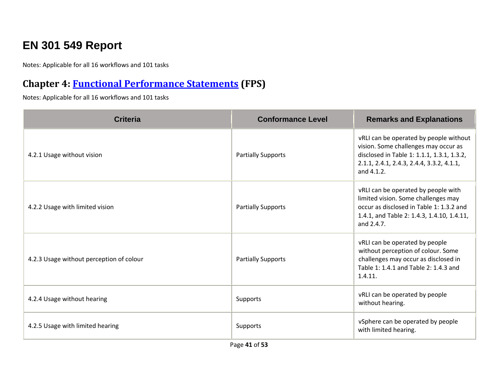# **EN 301 549 Report**

Notes: Applicable for all 16 workflows and 101 tasks

#### **Chapter 4: [Functional Performance Statements](https://www.etsi.org/deliver/etsi_en/301500_301599/301549/03.01.01_60/en_301549v030101p.pdf#%5B%7B%22num%22%3A38%2C%22gen%22%3A0%7D%2C%7B%22name%22%3A%22XYZ%22%7D%2C54%2C747%2C0%5D) (FPS)**

| <b>Criteria</b>                          | <b>Conformance Level</b>  | <b>Remarks and Explanations</b>                                                                                                                                                         |
|------------------------------------------|---------------------------|-----------------------------------------------------------------------------------------------------------------------------------------------------------------------------------------|
| 4.2.1 Usage without vision               | <b>Partially Supports</b> | vRLI can be operated by people without<br>vision. Some challenges may occur as<br>disclosed in Table 1: 1.1.1, 1.3.1, 1.3.2,<br>2.1.1, 2.4.1, 2.4.3, 2.4.4, 3.3.2, 4.1.1,<br>and 4.1.2. |
| 4.2.2 Usage with limited vision          | <b>Partially Supports</b> | vRLI can be operated by people with<br>limited vision. Some challenges may<br>occur as disclosed in Table 1: 1.3.2 and<br>1.4.1, and Table 2: 1.4.3, 1.4.10, 1.4.11,<br>and 2.4.7.      |
| 4.2.3 Usage without perception of colour | <b>Partially Supports</b> | vRLI can be operated by people<br>without perception of colour. Some<br>challenges may occur as disclosed in<br>Table 1: 1.4.1 and Table 2: 1.4.3 and<br>1.4.11.                        |
| 4.2.4 Usage without hearing              | Supports                  | vRLI can be operated by people<br>without hearing.                                                                                                                                      |
| 4.2.5 Usage with limited hearing         | Supports                  | vSphere can be operated by people<br>with limited hearing.                                                                                                                              |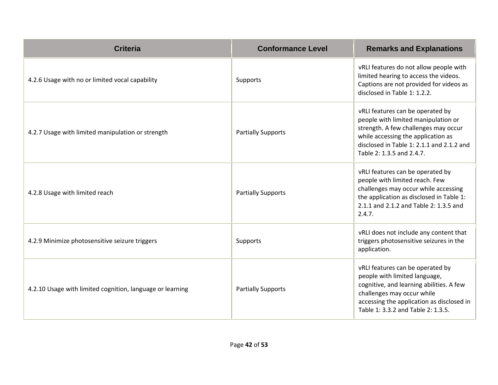| <b>Criteria</b>                                           | <b>Conformance Level</b>  | <b>Remarks and Explanations</b>                                                                                                                                                                                                 |
|-----------------------------------------------------------|---------------------------|---------------------------------------------------------------------------------------------------------------------------------------------------------------------------------------------------------------------------------|
| 4.2.6 Usage with no or limited vocal capability           | Supports                  | vRLI features do not allow people with<br>limited hearing to access the videos.<br>Captions are not provided for videos as<br>disclosed in Table 1: 1.2.2.                                                                      |
| 4.2.7 Usage with limited manipulation or strength         | <b>Partially Supports</b> | vRLI features can be operated by<br>people with limited manipulation or<br>strength. A few challenges may occur<br>while accessing the application as<br>disclosed in Table 1: 2.1.1 and 2.1.2 and<br>Table 2: 1.3.5 and 2.4.7. |
| 4.2.8 Usage with limited reach                            | <b>Partially Supports</b> | vRLI features can be operated by<br>people with limited reach. Few<br>challenges may occur while accessing<br>the application as disclosed in Table 1:<br>2.1.1 and 2.1.2 and Table 2: 1.3.5 and<br>2.4.7.                      |
| 4.2.9 Minimize photosensitive seizure triggers            | Supports                  | vRLI does not include any content that<br>triggers photosensitive seizures in the<br>application.                                                                                                                               |
| 4.2.10 Usage with limited cognition, language or learning | <b>Partially Supports</b> | vRLI features can be operated by<br>people with limited language,<br>cognitive, and learning abilities. A few<br>challenges may occur while<br>accessing the application as disclosed in<br>Table 1: 3.3.2 and Table 2: 1.3.5.  |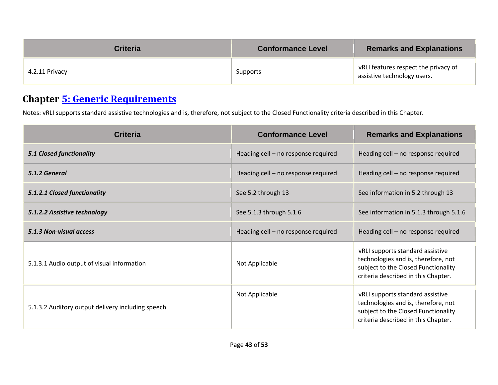| <b>Criteria</b> | <b>Conformance Level</b> | <b>Remarks and Explanations</b>                                     |
|-----------------|--------------------------|---------------------------------------------------------------------|
| 4.2.11 Privacy  | Supports                 | vRLI features respect the privacy of<br>assistive technology users. |

## **Chapter [5: Generic Requirements](https://www.etsi.org/deliver/etsi_en/301500_301599/301549/03.01.01_60/en_301549v030101p.pdf#%5B%7B%22num%22%3A45%2C%22gen%22%3A0%7D%2C%7B%22name%22%3A%22XYZ%22%7D%2C54%2C747%2C0%5D)**

Notes: vRLI supports standard assistive technologies and is, therefore, not subject to the Closed Functionality criteria described in this Chapter.

| Criteria                                          | <b>Conformance Level</b>            | <b>Remarks and Explanations</b>                                                                                                                       |
|---------------------------------------------------|-------------------------------------|-------------------------------------------------------------------------------------------------------------------------------------------------------|
| <b>5.1 Closed functionality</b>                   | Heading cell - no response required | Heading cell - no response required                                                                                                                   |
| 5.1.2 General                                     | Heading cell - no response required | Heading cell - no response required                                                                                                                   |
| 5.1.2.1 Closed functionality                      | See 5.2 through 13                  | See information in 5.2 through 13                                                                                                                     |
| 5.1.2.2 Assistive technology                      | See 5.1.3 through 5.1.6             | See information in 5.1.3 through 5.1.6                                                                                                                |
| 5.1.3 Non-visual access                           | Heading cell - no response required | Heading cell - no response required                                                                                                                   |
| 5.1.3.1 Audio output of visual information        | Not Applicable                      | vRLI supports standard assistive<br>technologies and is, therefore, not<br>subject to the Closed Functionality<br>criteria described in this Chapter. |
| 5.1.3.2 Auditory output delivery including speech | Not Applicable                      | vRLI supports standard assistive<br>technologies and is, therefore, not<br>subject to the Closed Functionality<br>criteria described in this Chapter. |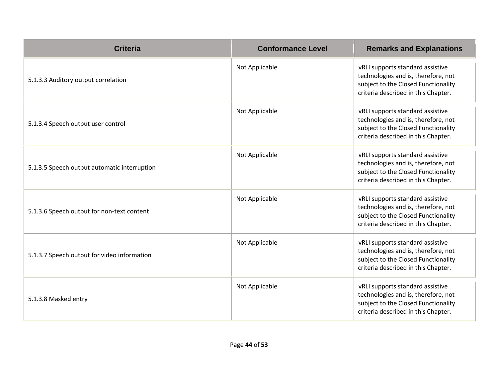| <b>Criteria</b>                              | <b>Conformance Level</b> | <b>Remarks and Explanations</b>                                                                                                                       |
|----------------------------------------------|--------------------------|-------------------------------------------------------------------------------------------------------------------------------------------------------|
| 5.1.3.3 Auditory output correlation          | Not Applicable           | vRLI supports standard assistive<br>technologies and is, therefore, not<br>subject to the Closed Functionality<br>criteria described in this Chapter. |
| 5.1.3.4 Speech output user control           | Not Applicable           | vRLI supports standard assistive<br>technologies and is, therefore, not<br>subject to the Closed Functionality<br>criteria described in this Chapter. |
| 5.1.3.5 Speech output automatic interruption | Not Applicable           | vRLI supports standard assistive<br>technologies and is, therefore, not<br>subject to the Closed Functionality<br>criteria described in this Chapter. |
| 5.1.3.6 Speech output for non-text content   | Not Applicable           | vRLI supports standard assistive<br>technologies and is, therefore, not<br>subject to the Closed Functionality<br>criteria described in this Chapter. |
| 5.1.3.7 Speech output for video information  | Not Applicable           | vRLI supports standard assistive<br>technologies and is, therefore, not<br>subject to the Closed Functionality<br>criteria described in this Chapter. |
| 5.1.3.8 Masked entry                         | Not Applicable           | vRLI supports standard assistive<br>technologies and is, therefore, not<br>subject to the Closed Functionality<br>criteria described in this Chapter. |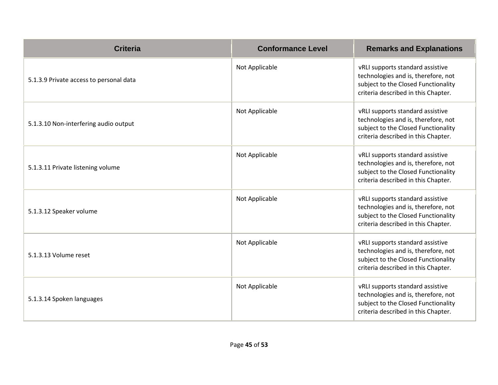| <b>Criteria</b>                         | <b>Conformance Level</b> | <b>Remarks and Explanations</b>                                                                                                                       |
|-----------------------------------------|--------------------------|-------------------------------------------------------------------------------------------------------------------------------------------------------|
| 5.1.3.9 Private access to personal data | Not Applicable           | vRLI supports standard assistive<br>technologies and is, therefore, not<br>subject to the Closed Functionality<br>criteria described in this Chapter. |
| 5.1.3.10 Non-interfering audio output   | Not Applicable           | vRLI supports standard assistive<br>technologies and is, therefore, not<br>subject to the Closed Functionality<br>criteria described in this Chapter. |
| 5.1.3.11 Private listening volume       | Not Applicable           | vRLI supports standard assistive<br>technologies and is, therefore, not<br>subject to the Closed Functionality<br>criteria described in this Chapter. |
| 5.1.3.12 Speaker volume                 | Not Applicable           | vRLI supports standard assistive<br>technologies and is, therefore, not<br>subject to the Closed Functionality<br>criteria described in this Chapter. |
| 5.1.3.13 Volume reset                   | Not Applicable           | vRLI supports standard assistive<br>technologies and is, therefore, not<br>subject to the Closed Functionality<br>criteria described in this Chapter. |
| 5.1.3.14 Spoken languages               | Not Applicable           | vRLI supports standard assistive<br>technologies and is, therefore, not<br>subject to the Closed Functionality<br>criteria described in this Chapter. |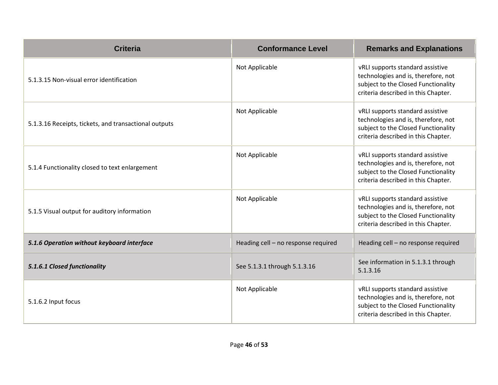| <b>Criteria</b>                                       | <b>Conformance Level</b>            | <b>Remarks and Explanations</b>                                                                                                                       |
|-------------------------------------------------------|-------------------------------------|-------------------------------------------------------------------------------------------------------------------------------------------------------|
| 5.1.3.15 Non-visual error identification              | Not Applicable                      | vRLI supports standard assistive<br>technologies and is, therefore, not<br>subject to the Closed Functionality<br>criteria described in this Chapter. |
| 5.1.3.16 Receipts, tickets, and transactional outputs | Not Applicable                      | vRLI supports standard assistive<br>technologies and is, therefore, not<br>subject to the Closed Functionality<br>criteria described in this Chapter. |
| 5.1.4 Functionality closed to text enlargement        | Not Applicable                      | vRLI supports standard assistive<br>technologies and is, therefore, not<br>subject to the Closed Functionality<br>criteria described in this Chapter. |
| 5.1.5 Visual output for auditory information          | Not Applicable                      | vRLI supports standard assistive<br>technologies and is, therefore, not<br>subject to the Closed Functionality<br>criteria described in this Chapter. |
| 5.1.6 Operation without keyboard interface            | Heading cell - no response required | Heading cell - no response required                                                                                                                   |
| 5.1.6.1 Closed functionality                          | See 5.1.3.1 through 5.1.3.16        | See information in 5.1.3.1 through<br>5.1.3.16                                                                                                        |
| 5.1.6.2 Input focus                                   | Not Applicable                      | vRLI supports standard assistive<br>technologies and is, therefore, not<br>subject to the Closed Functionality<br>criteria described in this Chapter. |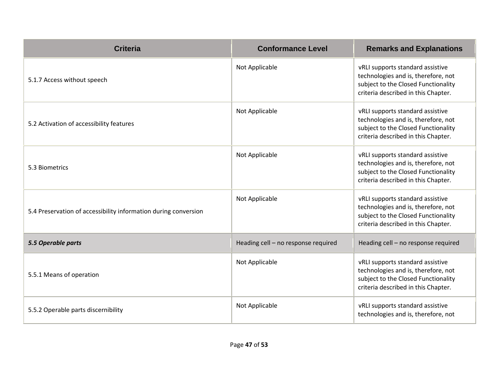| <b>Criteria</b>                                                 | <b>Conformance Level</b>            | <b>Remarks and Explanations</b>                                                                                                                       |
|-----------------------------------------------------------------|-------------------------------------|-------------------------------------------------------------------------------------------------------------------------------------------------------|
| 5.1.7 Access without speech                                     | Not Applicable                      | vRLI supports standard assistive<br>technologies and is, therefore, not<br>subject to the Closed Functionality<br>criteria described in this Chapter. |
| 5.2 Activation of accessibility features                        | Not Applicable                      | vRLI supports standard assistive<br>technologies and is, therefore, not<br>subject to the Closed Functionality<br>criteria described in this Chapter. |
| 5.3 Biometrics                                                  | Not Applicable                      | vRLI supports standard assistive<br>technologies and is, therefore, not<br>subject to the Closed Functionality<br>criteria described in this Chapter. |
| 5.4 Preservation of accessibility information during conversion | Not Applicable                      | vRLI supports standard assistive<br>technologies and is, therefore, not<br>subject to the Closed Functionality<br>criteria described in this Chapter. |
| 5.5 Operable parts                                              | Heading cell - no response required | Heading cell - no response required                                                                                                                   |
| 5.5.1 Means of operation                                        | Not Applicable                      | vRLI supports standard assistive<br>technologies and is, therefore, not<br>subject to the Closed Functionality<br>criteria described in this Chapter. |
| 5.5.2 Operable parts discernibility                             | Not Applicable                      | vRLI supports standard assistive<br>technologies and is, therefore, not                                                                               |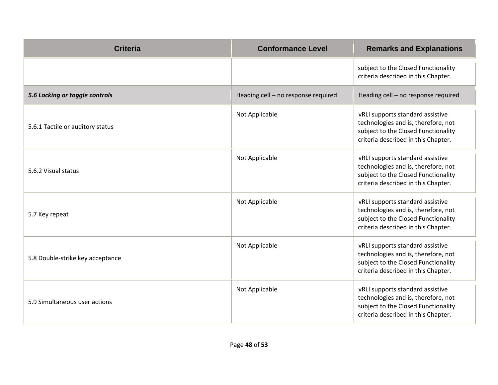| <b>Criteria</b>                  | <b>Conformance Level</b>            | <b>Remarks and Explanations</b>                                                                                                                       |
|----------------------------------|-------------------------------------|-------------------------------------------------------------------------------------------------------------------------------------------------------|
|                                  |                                     | subject to the Closed Functionality<br>criteria described in this Chapter.                                                                            |
| 5.6 Locking or toggle controls   | Heading cell - no response required | Heading cell - no response required                                                                                                                   |
| 5.6.1 Tactile or auditory status | Not Applicable                      | vRLI supports standard assistive<br>technologies and is, therefore, not<br>subject to the Closed Functionality<br>criteria described in this Chapter. |
| 5.6.2 Visual status              | Not Applicable                      | vRLI supports standard assistive<br>technologies and is, therefore, not<br>subject to the Closed Functionality<br>criteria described in this Chapter. |
| 5.7 Key repeat                   | Not Applicable                      | vRLI supports standard assistive<br>technologies and is, therefore, not<br>subject to the Closed Functionality<br>criteria described in this Chapter. |
| 5.8 Double-strike key acceptance | Not Applicable                      | vRLI supports standard assistive<br>technologies and is, therefore, not<br>subject to the Closed Functionality<br>criteria described in this Chapter. |
| 5.9 Simultaneous user actions    | Not Applicable                      | vRLI supports standard assistive<br>technologies and is, therefore, not<br>subject to the Closed Functionality<br>criteria described in this Chapter. |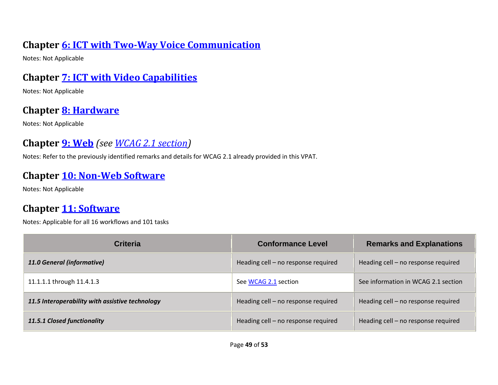#### **Chapter [6: ICT with Two-Way Voice Communication](https://www.etsi.org/deliver/etsi_en/301500_301599/301549/03.01.01_60/en_301549v030101p.pdf#%5B%7B%22num%22%3A60%2C%22gen%22%3A0%7D%2C%7B%22name%22%3A%22XYZ%22%7D%2C54%2C747%2C0%5D)**

Notes: Not Applicable

#### **Chapter [7: ICT with Video Capabilities](https://www.etsi.org/deliver/etsi_en/301500_301599/301549/03.01.01_60/en_301549v030101p.pdf#%5B%7B%22num%22%3A70%2C%22gen%22%3A0%7D%2C%7B%22name%22%3A%22XYZ%22%7D%2C54%2C747%2C0%5D)**

Notes: Not Applicable

#### **Chapter [8: Hardware](https://www.etsi.org/deliver/etsi_en/301500_301599/301549/03.01.01_60/en_301549v030101p.pdf#%5B%7B%22num%22%3A74%2C%22gen%22%3A0%7D%2C%7B%22name%22%3A%22XYZ%22%7D%2C54%2C747%2C0%5D)**

Notes: Not Applicable

## **Chapter [9: Web](https://www.etsi.org/deliver/etsi_en/301500_301599/301549/03.01.01_60/en_301549v030101p.pdf#%5B%7B%22num%22%3A113%2C%22gen%22%3A0%7D%2C%7B%22name%22%3A%22XYZ%22%7D%2C54%2C747%2C0%5D)** *(see [WCAG 2.1](#page-5-0) section)*

Notes: Refer to the previously identified remarks and details for WCAG 2.1 already provided in this VPAT.

#### **Chapter [10: Non-Web Software](https://www.etsi.org/deliver/etsi_en/301500_301599/301549/03.01.01_60/en_301549v030101p.pdf#%5B%7B%22num%22%3A127%2C%22gen%22%3A0%7D%2C%7B%22name%22%3A%22XYZ%22%7D%2C54%2C747%2C0%5D)**

Notes: Not Applicable

## **Chapter [11: Software](https://www.etsi.org/deliver/etsi_en/301500_301599/301549/03.01.01_60/en_301549v030101p.pdf#%5B%7B%22num%22%3A149%2C%22gen%22%3A0%7D%2C%7B%22name%22%3A%22XYZ%22%7D%2C54%2C747%2C0%5D)**

| <b>Criteria</b>                                 | <b>Conformance Level</b>            | <b>Remarks and Explanations</b>     |
|-------------------------------------------------|-------------------------------------|-------------------------------------|
| 11.0 General (informative)                      | Heading cell - no response required | Heading cell - no response required |
| 11.1.1.1 through 11.4.1.3                       | See WCAG 2.1 section                | See information in WCAG 2.1 section |
| 11.5 Interoperability with assistive technology | Heading cell - no response required | Heading cell – no response required |
| 11.5.1 Closed functionality                     | Heading cell - no response required | Heading cell - no response required |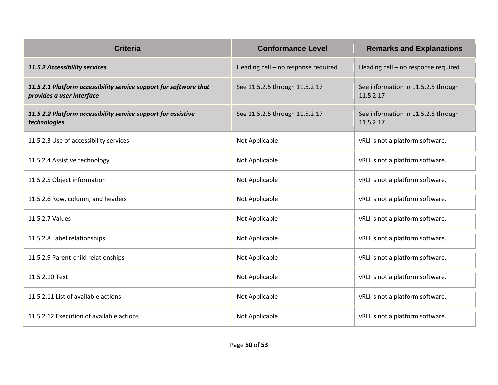| <b>Criteria</b>                                                                                | <b>Conformance Level</b>            | <b>Remarks and Explanations</b>                  |
|------------------------------------------------------------------------------------------------|-------------------------------------|--------------------------------------------------|
| 11.5.2 Accessibility services                                                                  | Heading cell - no response required | Heading cell - no response required              |
| 11.5.2.1 Platform accessibility service support for software that<br>provides a user interface | See 11.5.2.5 through 11.5.2.17      | See information in 11.5.2.5 through<br>11.5.2.17 |
| 11.5.2.2 Platform accessibility service support for assistive<br>technologies                  | See 11.5.2.5 through 11.5.2.17      | See information in 11.5.2.5 through<br>11.5.2.17 |
| 11.5.2.3 Use of accessibility services                                                         | Not Applicable                      | vRLI is not a platform software.                 |
| 11.5.2.4 Assistive technology                                                                  | Not Applicable                      | vRLI is not a platform software.                 |
| 11.5.2.5 Object information                                                                    | Not Applicable                      | vRLI is not a platform software.                 |
| 11.5.2.6 Row, column, and headers                                                              | Not Applicable                      | vRLI is not a platform software.                 |
| 11.5.2.7 Values                                                                                | Not Applicable                      | vRLI is not a platform software.                 |
| 11.5.2.8 Label relationships                                                                   | Not Applicable                      | vRLI is not a platform software.                 |
| 11.5.2.9 Parent-child relationships                                                            | Not Applicable                      | vRLI is not a platform software.                 |
| 11.5.2.10 Text                                                                                 | Not Applicable                      | vRLI is not a platform software.                 |
| 11.5.2.11 List of available actions                                                            | Not Applicable                      | vRLI is not a platform software.                 |
| 11.5.2.12 Execution of available actions                                                       | Not Applicable                      | vRLI is not a platform software.                 |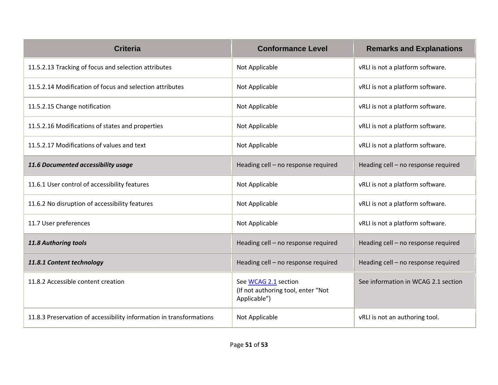| <b>Criteria</b>                                                     | <b>Conformance Level</b>                                                   | <b>Remarks and Explanations</b>     |
|---------------------------------------------------------------------|----------------------------------------------------------------------------|-------------------------------------|
| 11.5.2.13 Tracking of focus and selection attributes                | Not Applicable                                                             | vRLI is not a platform software.    |
| 11.5.2.14 Modification of focus and selection attributes            | Not Applicable                                                             | vRLI is not a platform software.    |
| 11.5.2.15 Change notification                                       | Not Applicable                                                             | vRLI is not a platform software.    |
| 11.5.2.16 Modifications of states and properties                    | Not Applicable                                                             | vRLI is not a platform software.    |
| 11.5.2.17 Modifications of values and text                          | Not Applicable                                                             | vRLI is not a platform software.    |
| 11.6 Documented accessibility usage                                 | Heading cell - no response required                                        | Heading cell - no response required |
| 11.6.1 User control of accessibility features                       | Not Applicable                                                             | vRLI is not a platform software.    |
| 11.6.2 No disruption of accessibility features                      | Not Applicable                                                             | vRLI is not a platform software.    |
| 11.7 User preferences                                               | Not Applicable                                                             | vRLI is not a platform software.    |
| 11.8 Authoring tools                                                | Heading cell - no response required                                        | Heading cell - no response required |
| 11.8.1 Content technology                                           | Heading cell - no response required                                        | Heading cell - no response required |
| 11.8.2 Accessible content creation                                  | See WCAG 2.1 section<br>(If not authoring tool, enter "Not<br>Applicable") | See information in WCAG 2.1 section |
| 11.8.3 Preservation of accessibility information in transformations | Not Applicable                                                             | vRLI is not an authoring tool.      |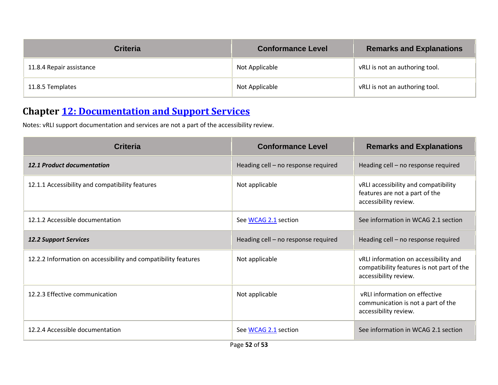| <b>Criteria</b>          | <b>Conformance Level</b> | <b>Remarks and Explanations</b> |
|--------------------------|--------------------------|---------------------------------|
| 11.8.4 Repair assistance | Not Applicable           | vRLI is not an authoring tool.  |
| 11.8.5 Templates         | Not Applicable           | vRLI is not an authoring tool.  |

#### **Chapter [12: Documentation and Support Services](https://www.etsi.org/deliver/etsi_en/301500_301599/301549/03.01.01_60/en_301549v030101p.pdf#%5B%7B%22num%22%3A187%2C%22gen%22%3A0%7D%2C%7B%22name%22%3A%22XYZ%22%7D%2C54%2C747%2C0%5D)**

Notes: vRLI support documentation and services are not a part of the accessibility review.

| <b>Criteria</b>                                                | <b>Conformance Level</b>            | <b>Remarks and Explanations</b>                                                                             |
|----------------------------------------------------------------|-------------------------------------|-------------------------------------------------------------------------------------------------------------|
| <b>12.1 Product documentation</b>                              | Heading cell - no response required | Heading cell - no response required                                                                         |
| 12.1.1 Accessibility and compatibility features                | Not applicable                      | vRLI accessibility and compatibility<br>features are not a part of the<br>accessibility review.             |
| 12.1.2 Accessible documentation                                | See WCAG 2.1 section                | See information in WCAG 2.1 section                                                                         |
| <b>12.2 Support Services</b>                                   | Heading cell - no response required | Heading cell - no response required                                                                         |
| 12.2.2 Information on accessibility and compatibility features | Not applicable                      | vRLI information on accessibility and<br>compatibility features is not part of the<br>accessibility review. |
| 12.2.3 Effective communication                                 | Not applicable                      | vRLI information on effective<br>communication is not a part of the<br>accessibility review.                |
| 12.2.4 Accessible documentation                                | See WCAG 2.1 section<br>D.  FA .£FA | See information in WCAG 2.1 section                                                                         |